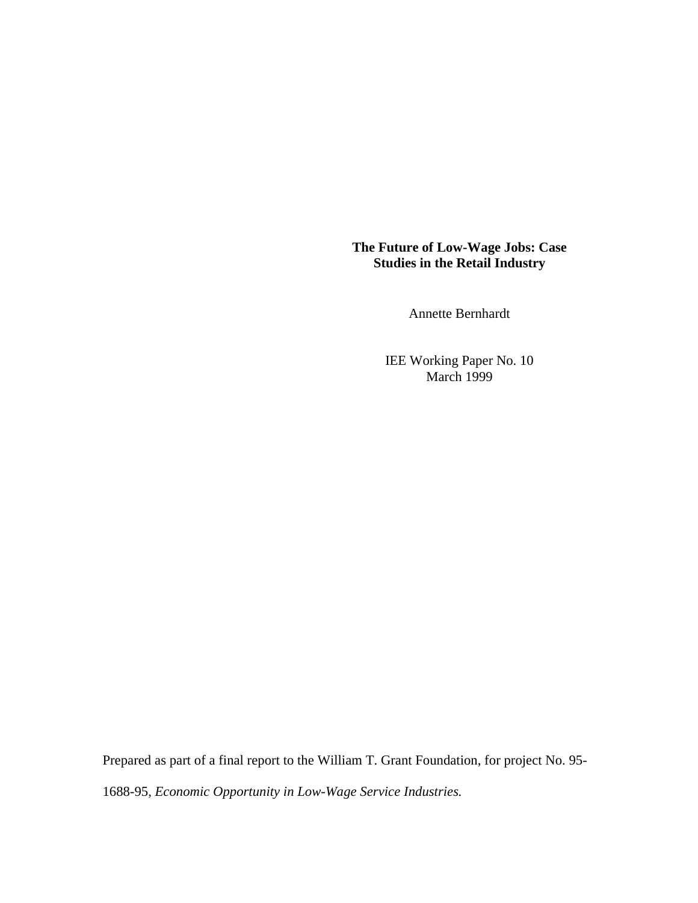# **The Future of Low-Wage Jobs: Case Studies in the Retail Industry**

Annette Bernhardt

IEE Working Paper No. 10 March 1999

Prepared as part of a final report to the William T. Grant Foundation, for project No. 95- 1688-95, *Economic Opportunity in Low-Wage Service Industries.*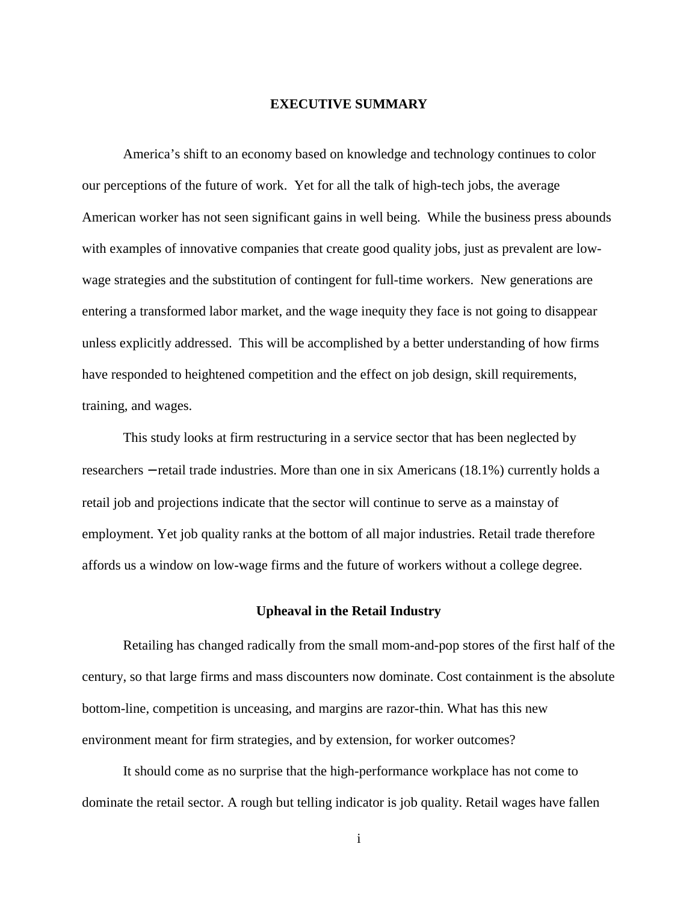## **EXECUTIVE SUMMARY**

America's shift to an economy based on knowledge and technology continues to color our perceptions of the future of work. Yet for all the talk of high-tech jobs, the average American worker has not seen significant gains in well being. While the business press abounds with examples of innovative companies that create good quality jobs, just as prevalent are lowwage strategies and the substitution of contingent for full-time workers. New generations are entering a transformed labor market, and the wage inequity they face is not going to disappear unless explicitly addressed. This will be accomplished by a better understanding of how firms have responded to heightened competition and the effect on job design, skill requirements, training, and wages.

This study looks at firm restructuring in a service sector that has been neglected by researchers − retail trade industries. More than one in six Americans (18.1%) currently holds a retail job and projections indicate that the sector will continue to serve as a mainstay of employment. Yet job quality ranks at the bottom of all major industries. Retail trade therefore affords us a window on low-wage firms and the future of workers without a college degree.

## **Upheaval in the Retail Industry**

Retailing has changed radically from the small mom-and-pop stores of the first half of the century, so that large firms and mass discounters now dominate. Cost containment is the absolute bottom-line, competition is unceasing, and margins are razor-thin. What has this new environment meant for firm strategies, and by extension, for worker outcomes?

It should come as no surprise that the high-performance workplace has not come to dominate the retail sector. A rough but telling indicator is job quality. Retail wages have fallen

i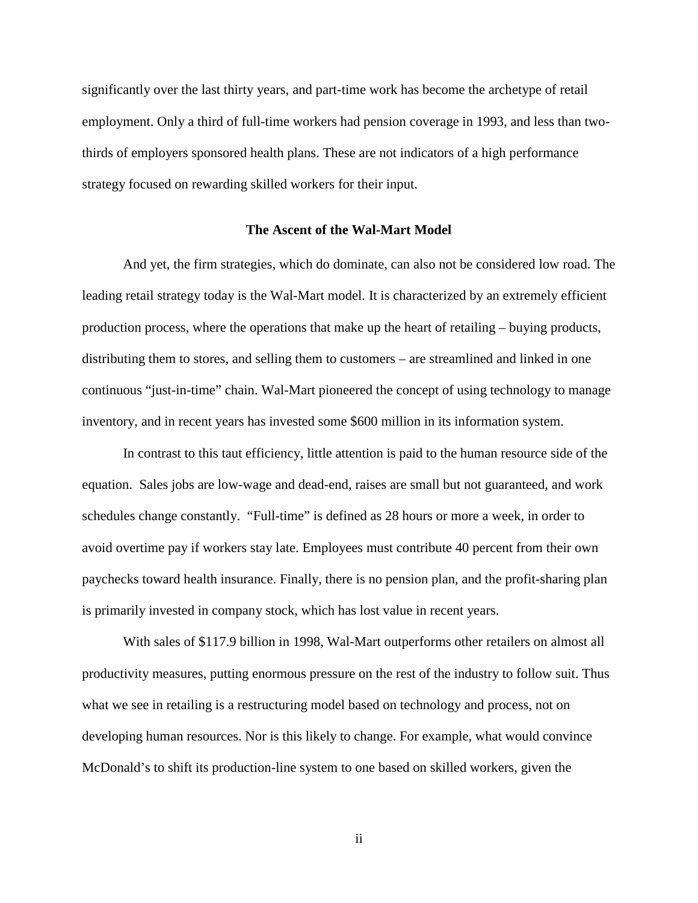significantly over the last thirty years, and part-time work has become the archetype of retail employment. Only a third of full-time workers had pension coverage in 1993, and less than twothirds of employers sponsored health plans. These are not indicators of a high performance strategy focused on rewarding skilled workers for their input.

#### **The Ascent of the Wal-Mart Model**

And yet, the firm strategies, which do dominate, can also not be considered low road. The leading retail strategy today is the Wal-Mart model. It is characterized by an extremely efficient production process, where the operations that make up the heart of retailing – buying products, distributing them to stores, and selling them to customers – are streamlined and linked in one continuous "just-in-time" chain. Wal-Mart pioneered the concept of using technology to manage inventory, and in recent years has invested some \$600 million in its information system.

In contrast to this taut efficiency, little attention is paid to the human resource side of the equation. Sales jobs are low-wage and dead-end, raises are small but not guaranteed, and work schedules change constantly. "Full-time" is defined as 28 hours or more a week, in order to avoid overtime pay if workers stay late. Employees must contribute 40 percent from their own paychecks toward health insurance. Finally, there is no pension plan, and the profit-sharing plan is primarily invested in company stock, which has lost value in recent years.

With sales of \$117.9 billion in 1998, Wal-Mart outperforms other retailers on almost all productivity measures, putting enormous pressure on the rest of the industry to follow suit. Thus what we see in retailing is a restructuring model based on technology and process, not on developing human resources. Nor is this likely to change. For example, what would convince McDonald's to shift its production-line system to one based on skilled workers, given the

ii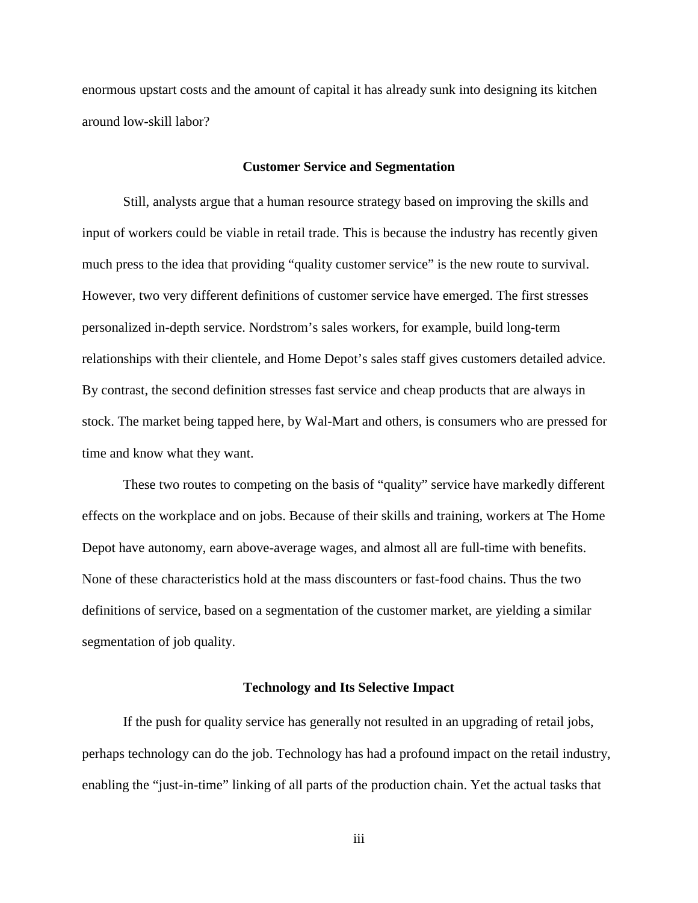enormous upstart costs and the amount of capital it has already sunk into designing its kitchen around low-skill labor?

#### **Customer Service and Segmentation**

Still, analysts argue that a human resource strategy based on improving the skills and input of workers could be viable in retail trade. This is because the industry has recently given much press to the idea that providing "quality customer service" is the new route to survival. However, two very different definitions of customer service have emerged. The first stresses personalized in-depth service. Nordstrom's sales workers, for example, build long-term relationships with their clientele, and Home Depot's sales staff gives customers detailed advice. By contrast, the second definition stresses fast service and cheap products that are always in stock. The market being tapped here, by Wal-Mart and others, is consumers who are pressed for time and know what they want.

These two routes to competing on the basis of "quality" service have markedly different effects on the workplace and on jobs. Because of their skills and training, workers at The Home Depot have autonomy, earn above-average wages, and almost all are full-time with benefits. None of these characteristics hold at the mass discounters or fast-food chains. Thus the two definitions of service, based on a segmentation of the customer market, are yielding a similar segmentation of job quality.

## **Technology and Its Selective Impact**

If the push for quality service has generally not resulted in an upgrading of retail jobs, perhaps technology can do the job. Technology has had a profound impact on the retail industry, enabling the "just-in-time" linking of all parts of the production chain. Yet the actual tasks that

iii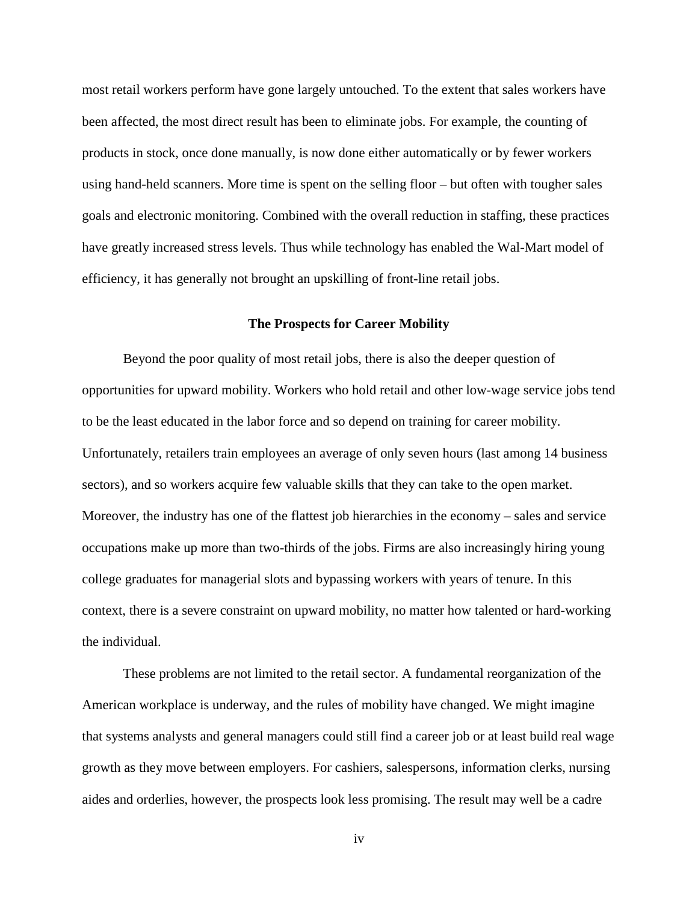most retail workers perform have gone largely untouched. To the extent that sales workers have been affected, the most direct result has been to eliminate jobs. For example, the counting of products in stock, once done manually, is now done either automatically or by fewer workers using hand-held scanners. More time is spent on the selling floor – but often with tougher sales goals and electronic monitoring. Combined with the overall reduction in staffing, these practices have greatly increased stress levels. Thus while technology has enabled the Wal-Mart model of efficiency, it has generally not brought an upskilling of front-line retail jobs.

## **The Prospects for Career Mobility**

Beyond the poor quality of most retail jobs, there is also the deeper question of opportunities for upward mobility. Workers who hold retail and other low-wage service jobs tend to be the least educated in the labor force and so depend on training for career mobility. Unfortunately, retailers train employees an average of only seven hours (last among 14 business sectors), and so workers acquire few valuable skills that they can take to the open market. Moreover, the industry has one of the flattest job hierarchies in the economy – sales and service occupations make up more than two-thirds of the jobs. Firms are also increasingly hiring young college graduates for managerial slots and bypassing workers with years of tenure. In this context, there is a severe constraint on upward mobility, no matter how talented or hard-working the individual.

These problems are not limited to the retail sector. A fundamental reorganization of the American workplace is underway, and the rules of mobility have changed. We might imagine that systems analysts and general managers could still find a career job or at least build real wage growth as they move between employers. For cashiers, salespersons, information clerks, nursing aides and orderlies, however, the prospects look less promising. The result may well be a cadre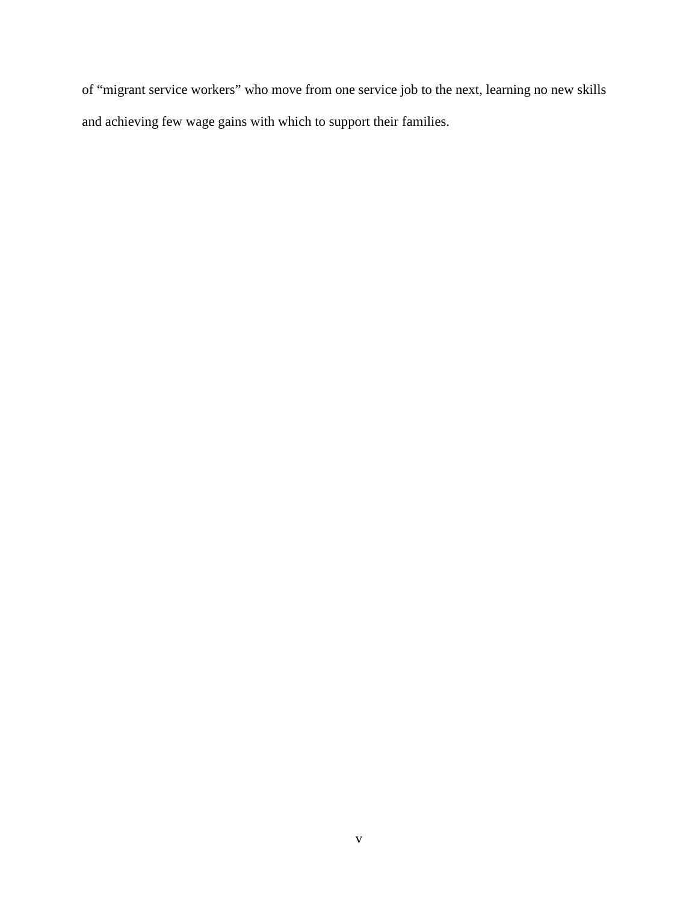of "migrant service workers" who move from one service job to the next, learning no new skills and achieving few wage gains with which to support their families.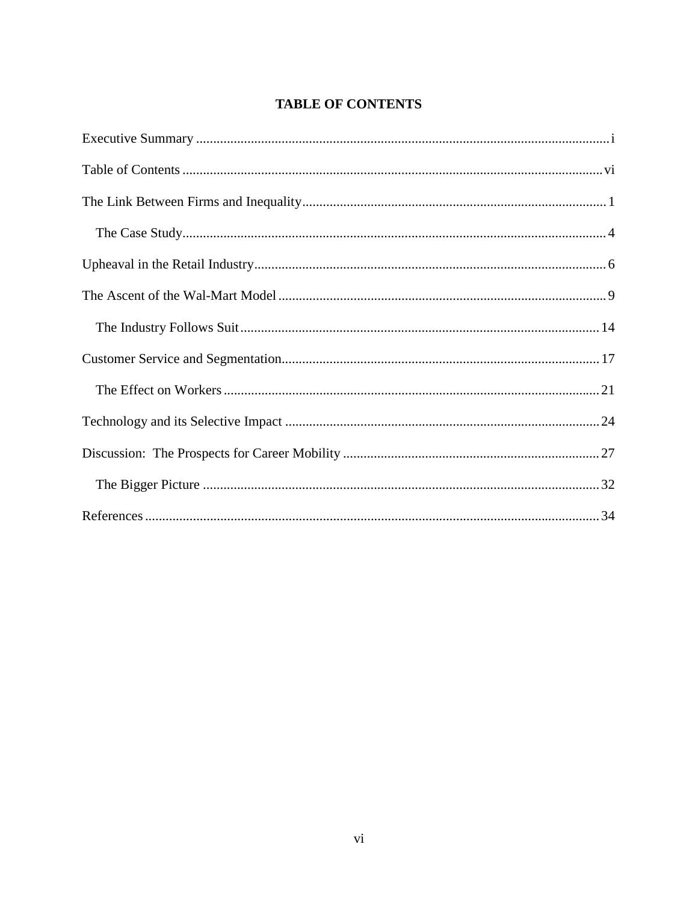# **TABLE OF CONTENTS**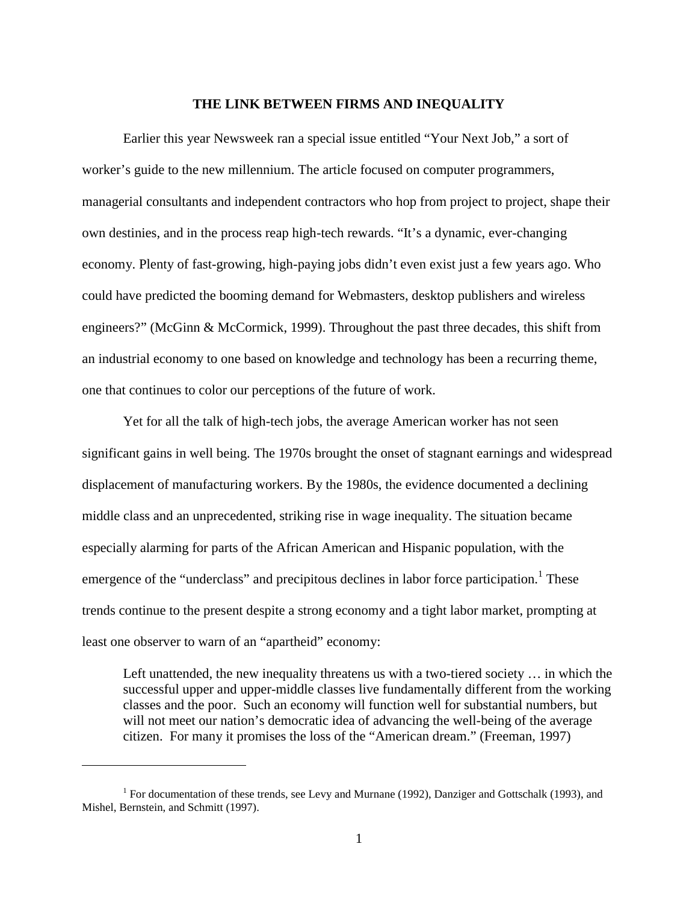#### **THE LINK BETWEEN FIRMS AND INEQUALITY**

Earlier this year Newsweek ran a special issue entitled "Your Next Job," a sort of worker's guide to the new millennium. The article focused on computer programmers, managerial consultants and independent contractors who hop from project to project, shape their own destinies, and in the process reap high-tech rewards. "It's a dynamic, ever-changing economy. Plenty of fast-growing, high-paying jobs didn't even exist just a few years ago. Who could have predicted the booming demand for Webmasters, desktop publishers and wireless engineers?" (McGinn & McCormick, 1999). Throughout the past three decades, this shift from an industrial economy to one based on knowledge and technology has been a recurring theme, one that continues to color our perceptions of the future of work.

Yet for all the talk of high-tech jobs, the average American worker has not seen significant gains in well being. The 1970s brought the onset of stagnant earnings and widespread displacement of manufacturing workers. By the 1980s, the evidence documented a declining middle class and an unprecedented, striking rise in wage inequality. The situation became especially alarming for parts of the African American and Hispanic population, with the emergence of the "underclass" and precipitous declines in labor force participation.<sup>1</sup> These trends continue to the present despite a strong economy and a tight labor market, prompting at least one observer to warn of an "apartheid" economy:

Left unattended, the new inequality threatens us with a two-tiered society … in which the successful upper and upper-middle classes live fundamentally different from the working classes and the poor. Such an economy will function well for substantial numbers, but will not meet our nation's democratic idea of advancing the well-being of the average citizen. For many it promises the loss of the "American dream." (Freeman, 1997)

<sup>&</sup>lt;sup>1</sup> For documentation of these trends, see Levy and Murnane (1992), Danziger and Gottschalk (1993), and Mishel, Bernstein, and Schmitt (1997).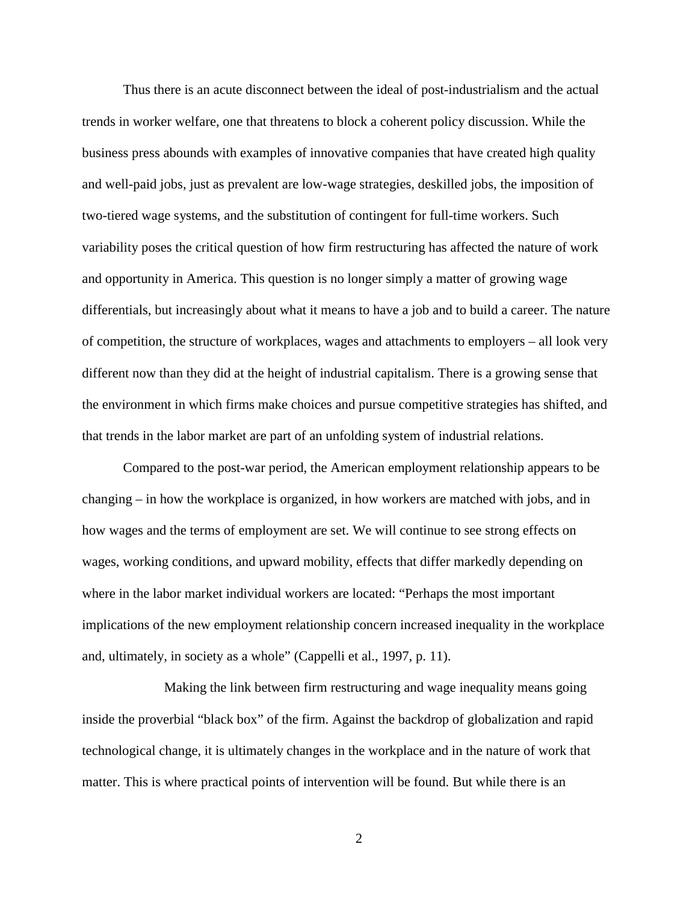Thus there is an acute disconnect between the ideal of post-industrialism and the actual trends in worker welfare, one that threatens to block a coherent policy discussion. While the business press abounds with examples of innovative companies that have created high quality and well-paid jobs, just as prevalent are low-wage strategies, deskilled jobs, the imposition of two-tiered wage systems, and the substitution of contingent for full-time workers. Such variability poses the critical question of how firm restructuring has affected the nature of work and opportunity in America. This question is no longer simply a matter of growing wage differentials, but increasingly about what it means to have a job and to build a career. The nature of competition, the structure of workplaces, wages and attachments to employers – all look very different now than they did at the height of industrial capitalism. There is a growing sense that the environment in which firms make choices and pursue competitive strategies has shifted, and that trends in the labor market are part of an unfolding system of industrial relations.

Compared to the post-war period, the American employment relationship appears to be changing – in how the workplace is organized, in how workers are matched with jobs, and in how wages and the terms of employment are set. We will continue to see strong effects on wages, working conditions, and upward mobility, effects that differ markedly depending on where in the labor market individual workers are located: "Perhaps the most important implications of the new employment relationship concern increased inequality in the workplace and, ultimately, in society as a whole" (Cappelli et al., 1997, p. 11).

Making the link between firm restructuring and wage inequality means going inside the proverbial "black box" of the firm. Against the backdrop of globalization and rapid technological change, it is ultimately changes in the workplace and in the nature of work that matter. This is where practical points of intervention will be found. But while there is an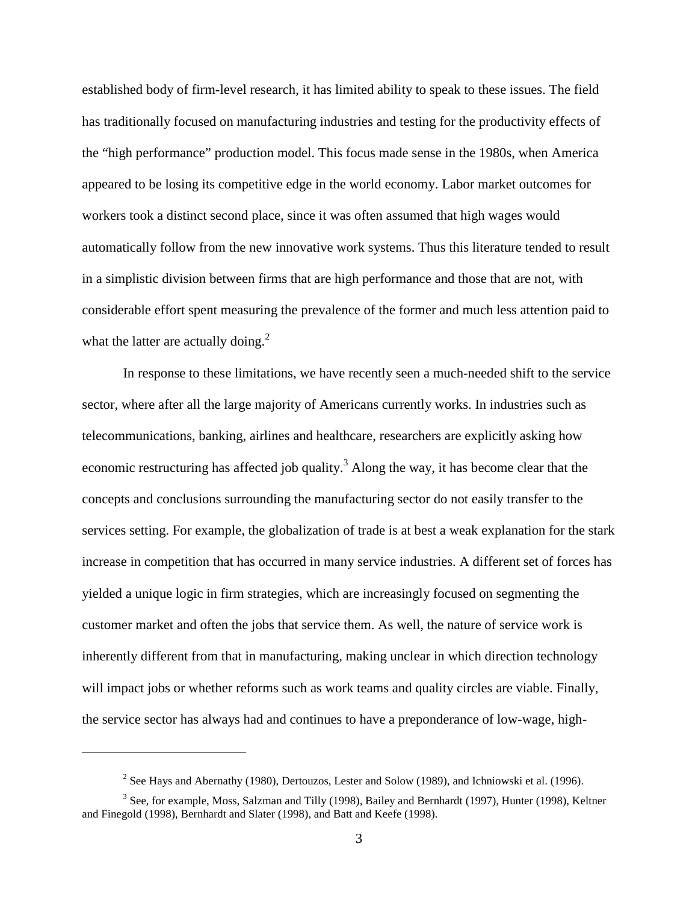established body of firm-level research, it has limited ability to speak to these issues. The field has traditionally focused on manufacturing industries and testing for the productivity effects of the "high performance" production model. This focus made sense in the 1980s, when America appeared to be losing its competitive edge in the world economy. Labor market outcomes for workers took a distinct second place, since it was often assumed that high wages would automatically follow from the new innovative work systems. Thus this literature tended to result in a simplistic division between firms that are high performance and those that are not, with considerable effort spent measuring the prevalence of the former and much less attention paid to what the latter are actually doing. $^{2}$ 

In response to these limitations, we have recently seen a much-needed shift to the service sector, where after all the large majority of Americans currently works. In industries such as telecommunications, banking, airlines and healthcare, researchers are explicitly asking how economic restructuring has affected job quality.<sup>3</sup> Along the way, it has become clear that the concepts and conclusions surrounding the manufacturing sector do not easily transfer to the services setting. For example, the globalization of trade is at best a weak explanation for the stark increase in competition that has occurred in many service industries. A different set of forces has yielded a unique logic in firm strategies, which are increasingly focused on segmenting the customer market and often the jobs that service them. As well, the nature of service work is inherently different from that in manufacturing, making unclear in which direction technology will impact jobs or whether reforms such as work teams and quality circles are viable. Finally, the service sector has always had and continues to have a preponderance of low-wage, high-

<sup>&</sup>lt;sup>2</sup> See Hays and Abernathy (1980), Dertouzos, Lester and Solow (1989), and Ichniowski et al. (1996).

<sup>&</sup>lt;sup>3</sup> See, for example, Moss, Salzman and Tilly (1998), Bailey and Bernhardt (1997), Hunter (1998), Keltner and Finegold (1998), Bernhardt and Slater (1998), and Batt and Keefe (1998).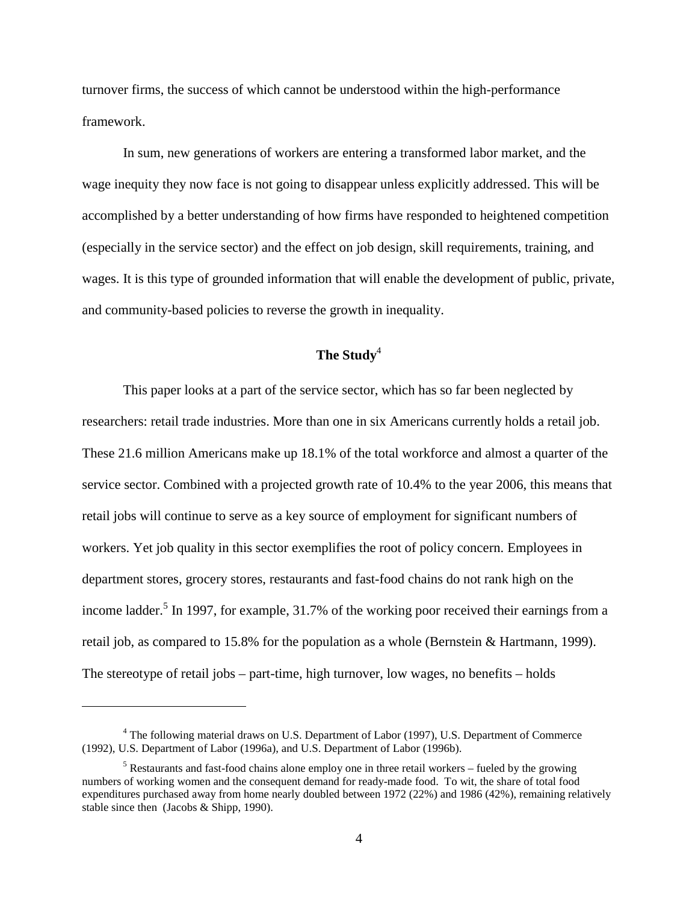turnover firms, the success of which cannot be understood within the high-performance framework.

In sum, new generations of workers are entering a transformed labor market, and the wage inequity they now face is not going to disappear unless explicitly addressed. This will be accomplished by a better understanding of how firms have responded to heightened competition (especially in the service sector) and the effect on job design, skill requirements, training, and wages. It is this type of grounded information that will enable the development of public, private, and community-based policies to reverse the growth in inequality.

# **The Study**<sup>4</sup>

This paper looks at a part of the service sector, which has so far been neglected by researchers: retail trade industries. More than one in six Americans currently holds a retail job. These 21.6 million Americans make up 18.1% of the total workforce and almost a quarter of the service sector. Combined with a projected growth rate of 10.4% to the year 2006, this means that retail jobs will continue to serve as a key source of employment for significant numbers of workers. Yet job quality in this sector exemplifies the root of policy concern. Employees in department stores, grocery stores, restaurants and fast-food chains do not rank high on the income ladder.<sup>5</sup> In 1997, for example, 31.7% of the working poor received their earnings from a retail job, as compared to 15.8% for the population as a whole (Bernstein & Hartmann, 1999). The stereotype of retail jobs – part-time, high turnover, low wages, no benefits – holds

<sup>&</sup>lt;sup>4</sup> The following material draws on U.S. Department of Labor (1997), U.S. Department of Commerce (1992), U.S. Department of Labor (1996a), and U.S. Department of Labor (1996b).

 $<sup>5</sup>$  Restaurants and fast-food chains alone employ one in three retail workers – fueled by the growing</sup> numbers of working women and the consequent demand for ready-made food. To wit, the share of total food expenditures purchased away from home nearly doubled between 1972 (22%) and 1986 (42%), remaining relatively stable since then (Jacobs & Shipp, 1990).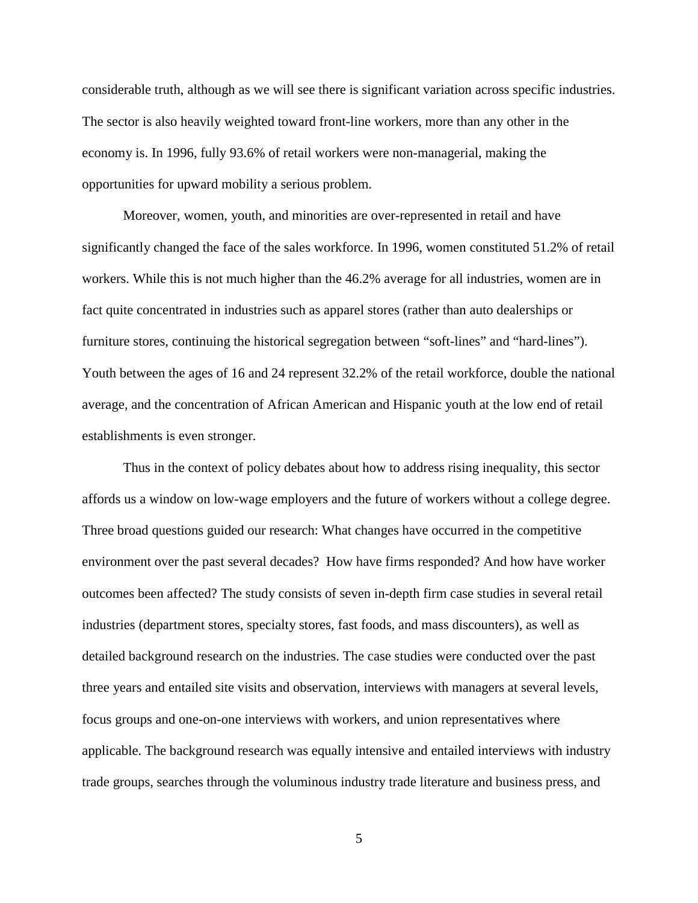considerable truth, although as we will see there is significant variation across specific industries. The sector is also heavily weighted toward front-line workers, more than any other in the economy is. In 1996, fully 93.6% of retail workers were non-managerial, making the opportunities for upward mobility a serious problem.

Moreover, women, youth, and minorities are over-represented in retail and have significantly changed the face of the sales workforce. In 1996, women constituted 51.2% of retail workers. While this is not much higher than the 46.2% average for all industries, women are in fact quite concentrated in industries such as apparel stores (rather than auto dealerships or furniture stores, continuing the historical segregation between "soft-lines" and "hard-lines"). Youth between the ages of 16 and 24 represent 32.2% of the retail workforce, double the national average, and the concentration of African American and Hispanic youth at the low end of retail establishments is even stronger.

Thus in the context of policy debates about how to address rising inequality, this sector affords us a window on low-wage employers and the future of workers without a college degree. Three broad questions guided our research: What changes have occurred in the competitive environment over the past several decades? How have firms responded? And how have worker outcomes been affected? The study consists of seven in-depth firm case studies in several retail industries (department stores, specialty stores, fast foods, and mass discounters), as well as detailed background research on the industries. The case studies were conducted over the past three years and entailed site visits and observation, interviews with managers at several levels, focus groups and one-on-one interviews with workers, and union representatives where applicable. The background research was equally intensive and entailed interviews with industry trade groups, searches through the voluminous industry trade literature and business press, and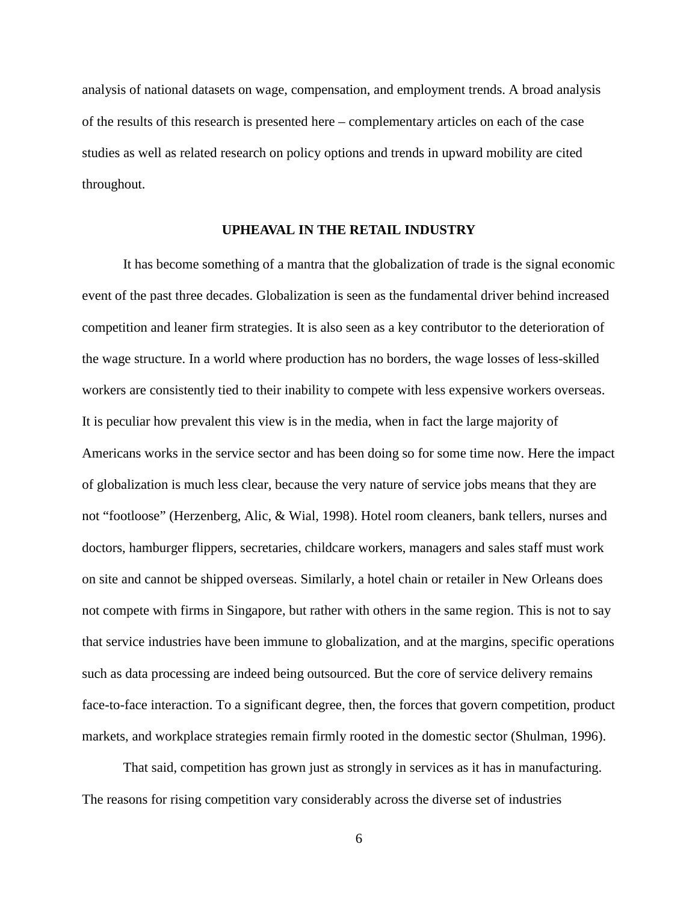analysis of national datasets on wage, compensation, and employment trends. A broad analysis of the results of this research is presented here – complementary articles on each of the case studies as well as related research on policy options and trends in upward mobility are cited throughout.

## **UPHEAVAL IN THE RETAIL INDUSTRY**

It has become something of a mantra that the globalization of trade is the signal economic event of the past three decades. Globalization is seen as the fundamental driver behind increased competition and leaner firm strategies. It is also seen as a key contributor to the deterioration of the wage structure. In a world where production has no borders, the wage losses of less-skilled workers are consistently tied to their inability to compete with less expensive workers overseas. It is peculiar how prevalent this view is in the media, when in fact the large majority of Americans works in the service sector and has been doing so for some time now. Here the impact of globalization is much less clear, because the very nature of service jobs means that they are not "footloose" (Herzenberg, Alic, & Wial, 1998). Hotel room cleaners, bank tellers, nurses and doctors, hamburger flippers, secretaries, childcare workers, managers and sales staff must work on site and cannot be shipped overseas. Similarly, a hotel chain or retailer in New Orleans does not compete with firms in Singapore, but rather with others in the same region. This is not to say that service industries have been immune to globalization, and at the margins, specific operations such as data processing are indeed being outsourced. But the core of service delivery remains face-to-face interaction. To a significant degree, then, the forces that govern competition, product markets, and workplace strategies remain firmly rooted in the domestic sector (Shulman, 1996).

That said, competition has grown just as strongly in services as it has in manufacturing. The reasons for rising competition vary considerably across the diverse set of industries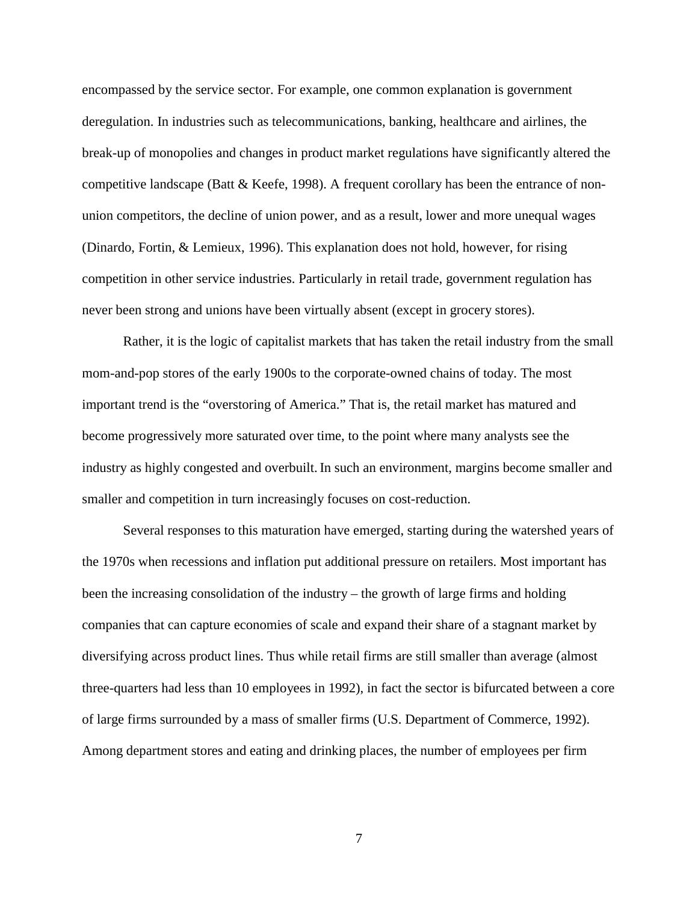encompassed by the service sector. For example, one common explanation is government deregulation. In industries such as telecommunications, banking, healthcare and airlines, the break-up of monopolies and changes in product market regulations have significantly altered the competitive landscape (Batt  $\&$  Keefe, 1998). A frequent corollary has been the entrance of nonunion competitors, the decline of union power, and as a result, lower and more unequal wages (Dinardo, Fortin, & Lemieux, 1996). This explanation does not hold, however, for rising competition in other service industries. Particularly in retail trade, government regulation has never been strong and unions have been virtually absent (except in grocery stores).

Rather, it is the logic of capitalist markets that has taken the retail industry from the small mom-and-pop stores of the early 1900s to the corporate-owned chains of today. The most important trend is the "overstoring of America." That is, the retail market has matured and become progressively more saturated over time, to the point where many analysts see the industry as highly congested and overbuilt. In such an environment, margins become smaller and smaller and competition in turn increasingly focuses on cost-reduction.

Several responses to this maturation have emerged, starting during the watershed years of the 1970s when recessions and inflation put additional pressure on retailers. Most important has been the increasing consolidation of the industry – the growth of large firms and holding companies that can capture economies of scale and expand their share of a stagnant market by diversifying across product lines. Thus while retail firms are still smaller than average (almost three-quarters had less than 10 employees in 1992), in fact the sector is bifurcated between a core of large firms surrounded by a mass of smaller firms (U.S. Department of Commerce, 1992). Among department stores and eating and drinking places, the number of employees per firm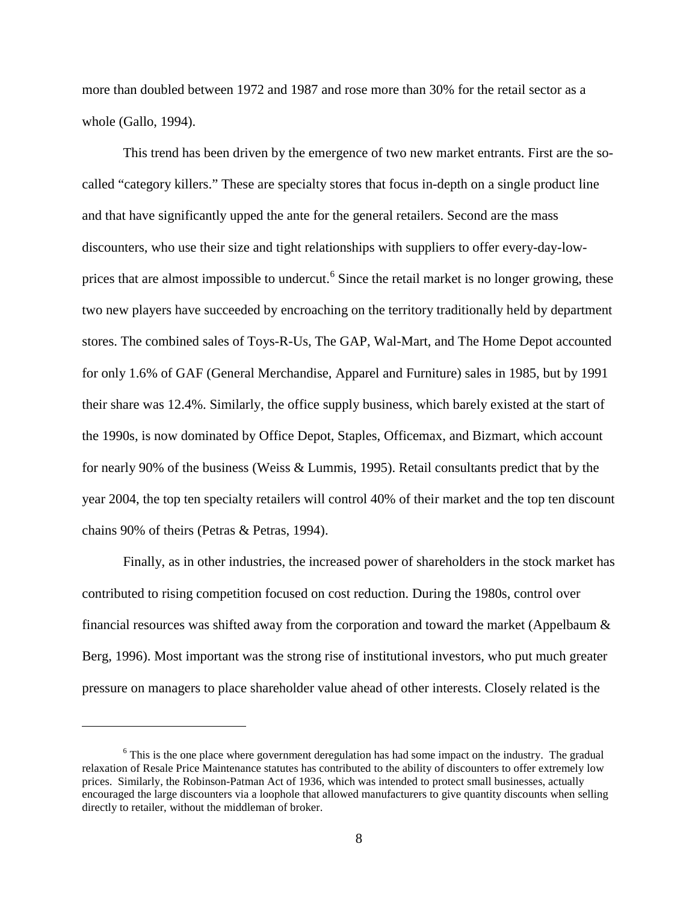more than doubled between 1972 and 1987 and rose more than 30% for the retail sector as a whole (Gallo, 1994).

This trend has been driven by the emergence of two new market entrants. First are the socalled "category killers." These are specialty stores that focus in-depth on a single product line and that have significantly upped the ante for the general retailers. Second are the mass discounters, who use their size and tight relationships with suppliers to offer every-day-lowprices that are almost impossible to undercut.<sup>6</sup> Since the retail market is no longer growing, these two new players have succeeded by encroaching on the territory traditionally held by department stores. The combined sales of Toys-R-Us, The GAP, Wal-Mart, and The Home Depot accounted for only 1.6% of GAF (General Merchandise, Apparel and Furniture) sales in 1985, but by 1991 their share was 12.4%. Similarly, the office supply business, which barely existed at the start of the 1990s, is now dominated by Office Depot, Staples, Officemax, and Bizmart, which account for nearly 90% of the business (Weiss & Lummis, 1995). Retail consultants predict that by the year 2004, the top ten specialty retailers will control 40% of their market and the top ten discount chains 90% of theirs (Petras & Petras, 1994).

Finally, as in other industries, the increased power of shareholders in the stock market has contributed to rising competition focused on cost reduction. During the 1980s, control over financial resources was shifted away from the corporation and toward the market (Appelbaum & Berg, 1996). Most important was the strong rise of institutional investors, who put much greater pressure on managers to place shareholder value ahead of other interests. Closely related is the

<sup>&</sup>lt;sup>6</sup> This is the one place where government deregulation has had some impact on the industry. The gradual relaxation of Resale Price Maintenance statutes has contributed to the ability of discounters to offer extremely low prices. Similarly, the Robinson-Patman Act of 1936, which was intended to protect small businesses, actually encouraged the large discounters via a loophole that allowed manufacturers to give quantity discounts when selling directly to retailer, without the middleman of broker.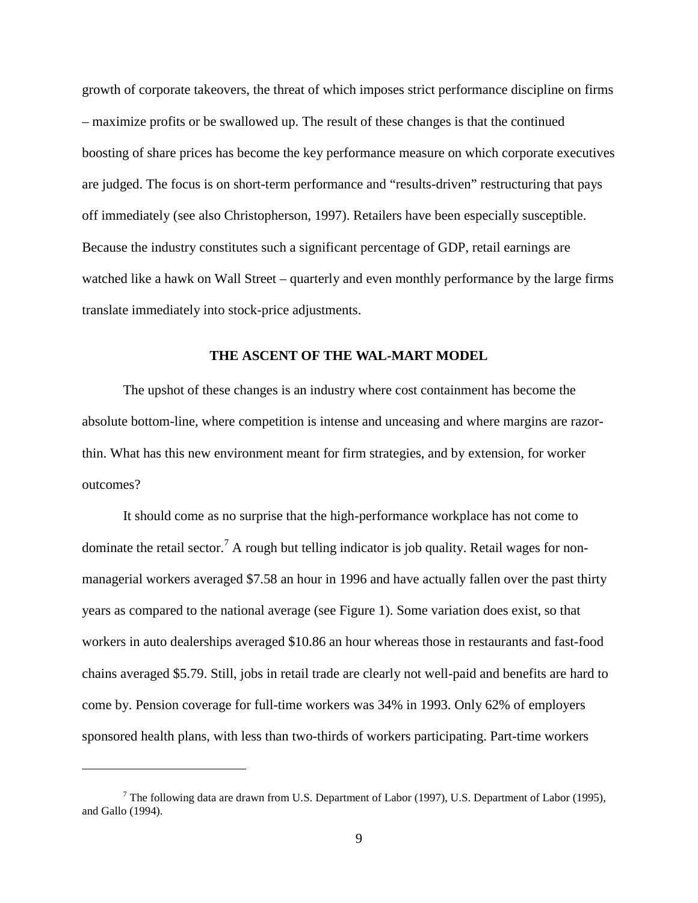growth of corporate takeovers, the threat of which imposes strict performance discipline on firms – maximize profits or be swallowed up. The result of these changes is that the continued boosting of share prices has become the key performance measure on which corporate executives are judged. The focus is on short-term performance and "results-driven" restructuring that pays off immediately (see also Christopherson, 1997). Retailers have been especially susceptible. Because the industry constitutes such a significant percentage of GDP, retail earnings are watched like a hawk on Wall Street – quarterly and even monthly performance by the large firms translate immediately into stock-price adjustments.

## **THE ASCENT OF THE WAL-MART MODEL**

The upshot of these changes is an industry where cost containment has become the absolute bottom-line, where competition is intense and unceasing and where margins are razorthin. What has this new environment meant for firm strategies, and by extension, for worker outcomes?

It should come as no surprise that the high-performance workplace has not come to dominate the retail sector.<sup>7</sup> A rough but telling indicator is job quality. Retail wages for nonmanagerial workers averaged \$7.58 an hour in 1996 and have actually fallen over the past thirty years as compared to the national average (see Figure 1). Some variation does exist, so that workers in auto dealerships averaged \$10.86 an hour whereas those in restaurants and fast-food chains averaged \$5.79. Still, jobs in retail trade are clearly not well-paid and benefits are hard to come by. Pension coverage for full-time workers was 34% in 1993. Only 62% of employers sponsored health plans, with less than two-thirds of workers participating. Part-time workers

<sup>&</sup>lt;sup>7</sup> The following data are drawn from U.S. Department of Labor (1997), U.S. Department of Labor (1995), and Gallo (1994).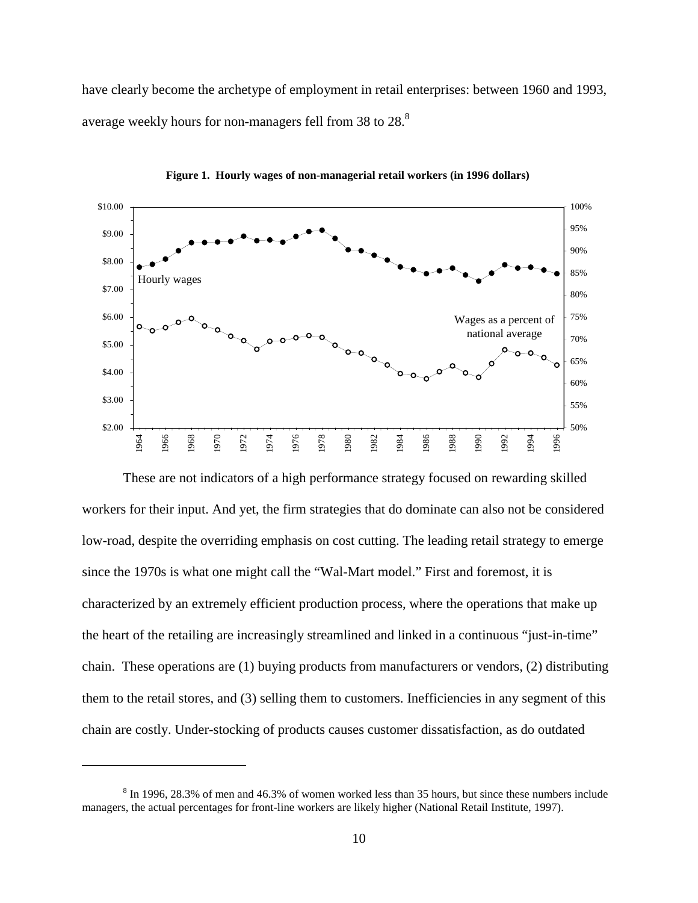have clearly become the archetype of employment in retail enterprises: between 1960 and 1993, average weekly hours for non-managers fell from 38 to 28.<sup>8</sup>



**Figure 1. Hourly wages of non-managerial retail workers (in 1996 dollars)**

These are not indicators of a high performance strategy focused on rewarding skilled workers for their input. And yet, the firm strategies that do dominate can also not be considered low-road, despite the overriding emphasis on cost cutting. The leading retail strategy to emerge since the 1970s is what one might call the "Wal-Mart model." First and foremost, it is characterized by an extremely efficient production process, where the operations that make up the heart of the retailing are increasingly streamlined and linked in a continuous "just-in-time" chain. These operations are (1) buying products from manufacturers or vendors, (2) distributing them to the retail stores, and (3) selling them to customers. Inefficiencies in any segment of this chain are costly. Under-stocking of products causes customer dissatisfaction, as do outdated

 $8 \text{ In } 1996, 28.3\%$  of men and 46.3% of women worked less than 35 hours, but since these numbers include managers, the actual percentages for front-line workers are likely higher (National Retail Institute, 1997).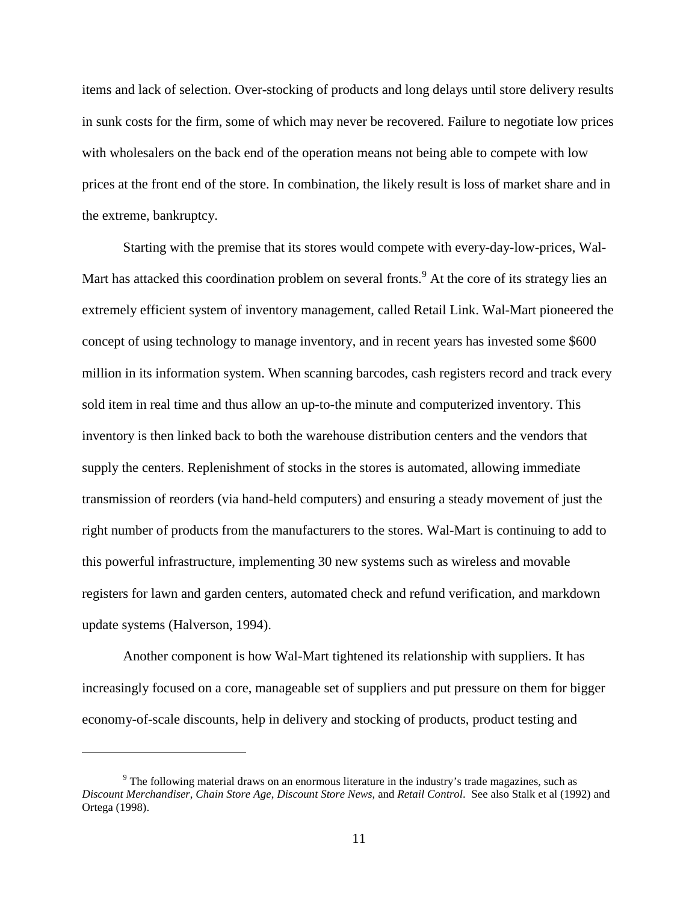items and lack of selection. Over-stocking of products and long delays until store delivery results in sunk costs for the firm, some of which may never be recovered. Failure to negotiate low prices with wholesalers on the back end of the operation means not being able to compete with low prices at the front end of the store. In combination, the likely result is loss of market share and in the extreme, bankruptcy.

Starting with the premise that its stores would compete with every-day-low-prices, Wal-Mart has attacked this coordination problem on several fronts.<sup>9</sup> At the core of its strategy lies an extremely efficient system of inventory management, called Retail Link. Wal-Mart pioneered the concept of using technology to manage inventory, and in recent years has invested some \$600 million in its information system. When scanning barcodes, cash registers record and track every sold item in real time and thus allow an up-to-the minute and computerized inventory. This inventory is then linked back to both the warehouse distribution centers and the vendors that supply the centers. Replenishment of stocks in the stores is automated, allowing immediate transmission of reorders (via hand-held computers) and ensuring a steady movement of just the right number of products from the manufacturers to the stores. Wal-Mart is continuing to add to this powerful infrastructure, implementing 30 new systems such as wireless and movable registers for lawn and garden centers, automated check and refund verification, and markdown update systems (Halverson, 1994).

Another component is how Wal-Mart tightened its relationship with suppliers. It has increasingly focused on a core, manageable set of suppliers and put pressure on them for bigger economy-of-scale discounts, help in delivery and stocking of products, product testing and

 $9$  The following material draws on an enormous literature in the industry's trade magazines, such as *Discount Merchandiser*, *Chain Store Age*, *Discount Store News*, and *Retail Control*. See also Stalk et al (1992) and Ortega (1998).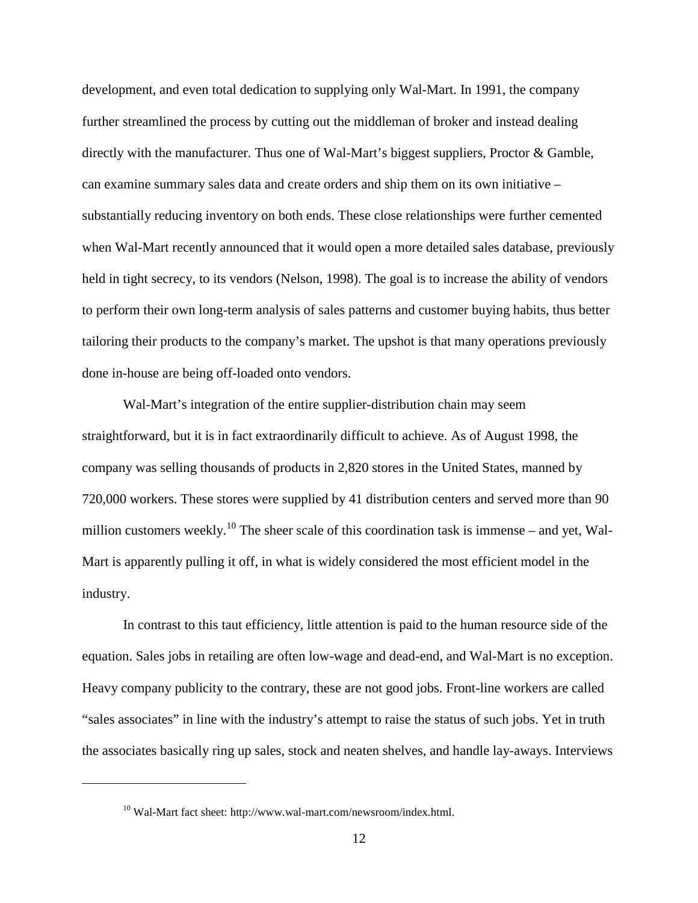development, and even total dedication to supplying only Wal-Mart. In 1991, the company further streamlined the process by cutting out the middleman of broker and instead dealing directly with the manufacturer. Thus one of Wal-Mart's biggest suppliers, Proctor & Gamble, can examine summary sales data and create orders and ship them on its own initiative – substantially reducing inventory on both ends. These close relationships were further cemented when Wal-Mart recently announced that it would open a more detailed sales database, previously held in tight secrecy, to its vendors (Nelson, 1998). The goal is to increase the ability of vendors to perform their own long-term analysis of sales patterns and customer buying habits, thus better tailoring their products to the company's market. The upshot is that many operations previously done in-house are being off-loaded onto vendors.

Wal-Mart's integration of the entire supplier-distribution chain may seem straightforward, but it is in fact extraordinarily difficult to achieve. As of August 1998, the company was selling thousands of products in 2,820 stores in the United States, manned by 720,000 workers. These stores were supplied by 41 distribution centers and served more than 90 million customers weekly.<sup>10</sup> The sheer scale of this coordination task is immense – and yet, Wal-Mart is apparently pulling it off, in what is widely considered the most efficient model in the industry.

In contrast to this taut efficiency, little attention is paid to the human resource side of the equation. Sales jobs in retailing are often low-wage and dead-end, and Wal-Mart is no exception. Heavy company publicity to the contrary, these are not good jobs. Front-line workers are called "sales associates" in line with the industry's attempt to raise the status of such jobs. Yet in truth the associates basically ring up sales, stock and neaten shelves, and handle lay-aways. Interviews

<sup>&</sup>lt;sup>10</sup> Wal-Mart fact sheet: http://www.wal-mart.com/newsroom/index.html.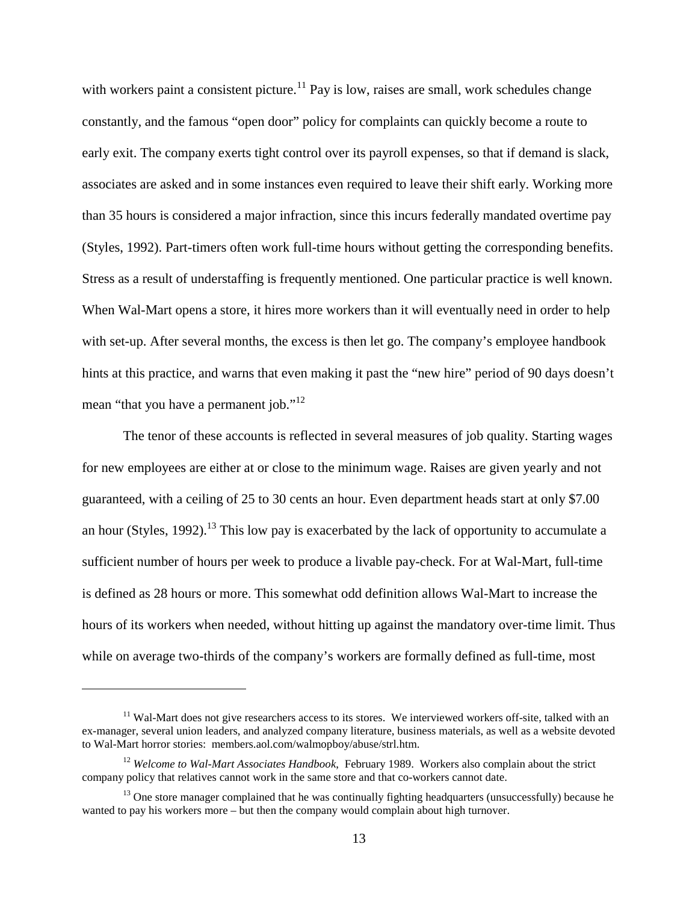with workers paint a consistent picture.<sup>11</sup> Pay is low, raises are small, work schedules change constantly, and the famous "open door" policy for complaints can quickly become a route to early exit. The company exerts tight control over its payroll expenses, so that if demand is slack, associates are asked and in some instances even required to leave their shift early. Working more than 35 hours is considered a major infraction, since this incurs federally mandated overtime pay (Styles, 1992). Part-timers often work full-time hours without getting the corresponding benefits. Stress as a result of understaffing is frequently mentioned. One particular practice is well known. When Wal-Mart opens a store, it hires more workers than it will eventually need in order to help with set-up. After several months, the excess is then let go. The company's employee handbook hints at this practice, and warns that even making it past the "new hire" period of 90 days doesn't mean "that you have a permanent job."<sup>12</sup>

The tenor of these accounts is reflected in several measures of job quality. Starting wages for new employees are either at or close to the minimum wage. Raises are given yearly and not guaranteed, with a ceiling of 25 to 30 cents an hour. Even department heads start at only \$7.00 an hour (Styles, 1992).<sup>13</sup> This low pay is exacerbated by the lack of opportunity to accumulate a sufficient number of hours per week to produce a livable pay-check. For at Wal-Mart, full-time is defined as 28 hours or more. This somewhat odd definition allows Wal-Mart to increase the hours of its workers when needed, without hitting up against the mandatory over-time limit. Thus while on average two-thirds of the company's workers are formally defined as full-time, most

 $11$  Wal-Mart does not give researchers access to its stores. We interviewed workers off-site, talked with an ex-manager, several union leaders, and analyzed company literature, business materials, as well as a website devoted to Wal-Mart horror stories: members.aol.com/walmopboy/abuse/strl.htm.

<sup>&</sup>lt;sup>12</sup> Welcome to Wal-Mart Associates Handbook, February 1989. Workers also complain about the strict company policy that relatives cannot work in the same store and that co-workers cannot date.

 $13$  One store manager complained that he was continually fighting headquarters (unsuccessfully) because he wanted to pay his workers more – but then the company would complain about high turnover.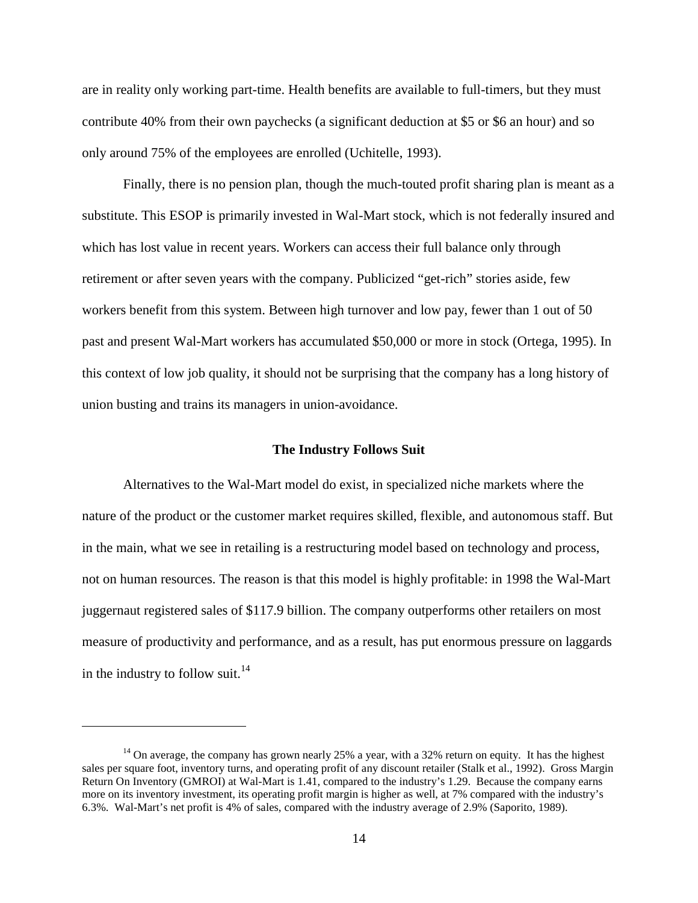are in reality only working part-time. Health benefits are available to full-timers, but they must contribute 40% from their own paychecks (a significant deduction at \$5 or \$6 an hour) and so only around 75% of the employees are enrolled (Uchitelle, 1993).

Finally, there is no pension plan, though the much-touted profit sharing plan is meant as a substitute. This ESOP is primarily invested in Wal-Mart stock, which is not federally insured and which has lost value in recent years. Workers can access their full balance only through retirement or after seven years with the company. Publicized "get-rich" stories aside, few workers benefit from this system. Between high turnover and low pay, fewer than 1 out of 50 past and present Wal-Mart workers has accumulated \$50,000 or more in stock (Ortega, 1995). In this context of low job quality, it should not be surprising that the company has a long history of union busting and trains its managers in union-avoidance.

#### **The Industry Follows Suit**

Alternatives to the Wal-Mart model do exist, in specialized niche markets where the nature of the product or the customer market requires skilled, flexible, and autonomous staff. But in the main, what we see in retailing is a restructuring model based on technology and process, not on human resources. The reason is that this model is highly profitable: in 1998 the Wal-Mart juggernaut registered sales of \$117.9 billion. The company outperforms other retailers on most measure of productivity and performance, and as a result, has put enormous pressure on laggards in the industry to follow suit.<sup>14</sup>

<sup>&</sup>lt;sup>14</sup> On average, the company has grown nearly 25% a year, with a 32% return on equity. It has the highest sales per square foot, inventory turns, and operating profit of any discount retailer (Stalk et al., 1992). Gross Margin Return On Inventory (GMROI) at Wal-Mart is 1.41, compared to the industry's 1.29. Because the company earns more on its inventory investment, its operating profit margin is higher as well, at 7% compared with the industry's 6.3%. Wal-Mart's net profit is 4% of sales, compared with the industry average of 2.9% (Saporito, 1989).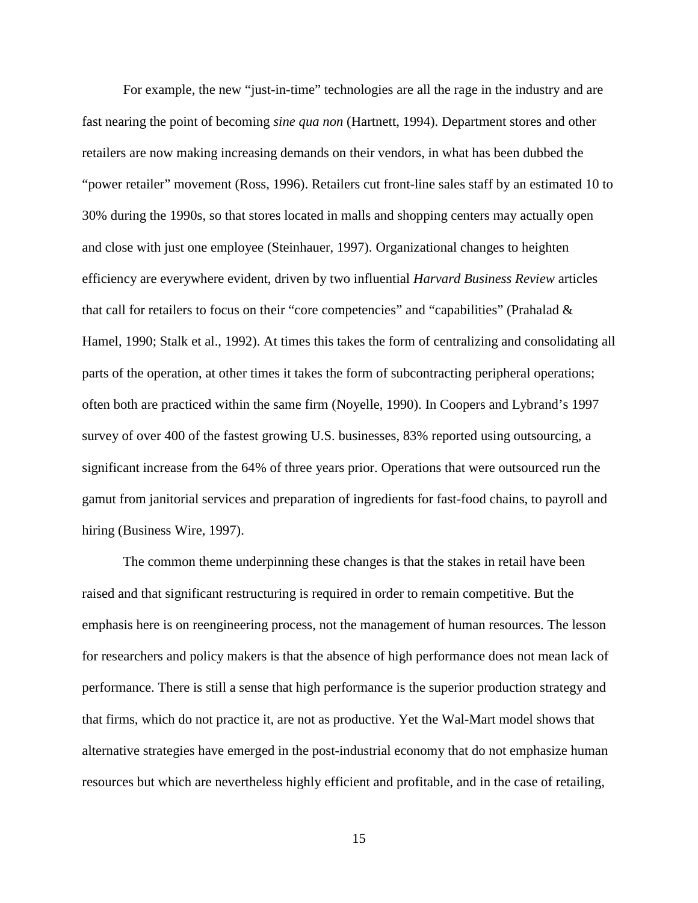For example, the new "just-in-time" technologies are all the rage in the industry and are fast nearing the point of becoming *sine qua non* (Hartnett, 1994). Department stores and other retailers are now making increasing demands on their vendors, in what has been dubbed the "power retailer" movement (Ross, 1996). Retailers cut front-line sales staff by an estimated 10 to 30% during the 1990s, so that stores located in malls and shopping centers may actually open and close with just one employee (Steinhauer, 1997). Organizational changes to heighten efficiency are everywhere evident, driven by two influential *Harvard Business Review* articles that call for retailers to focus on their "core competencies" and "capabilities" (Prahalad & Hamel, 1990; Stalk et al., 1992). At times this takes the form of centralizing and consolidating all parts of the operation, at other times it takes the form of subcontracting peripheral operations; often both are practiced within the same firm (Noyelle, 1990). In Coopers and Lybrand's 1997 survey of over 400 of the fastest growing U.S. businesses, 83% reported using outsourcing, a significant increase from the 64% of three years prior. Operations that were outsourced run the gamut from janitorial services and preparation of ingredients for fast-food chains, to payroll and hiring (Business Wire, 1997).

The common theme underpinning these changes is that the stakes in retail have been raised and that significant restructuring is required in order to remain competitive. But the emphasis here is on reengineering process, not the management of human resources. The lesson for researchers and policy makers is that the absence of high performance does not mean lack of performance. There is still a sense that high performance is the superior production strategy and that firms, which do not practice it, are not as productive. Yet the Wal-Mart model shows that alternative strategies have emerged in the post-industrial economy that do not emphasize human resources but which are nevertheless highly efficient and profitable, and in the case of retailing,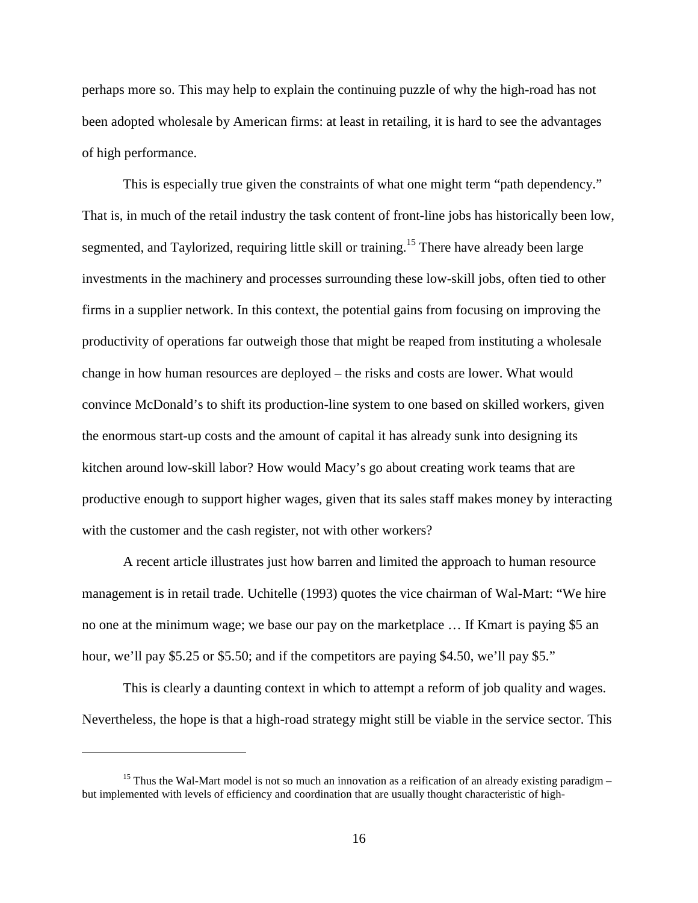perhaps more so. This may help to explain the continuing puzzle of why the high-road has not been adopted wholesale by American firms: at least in retailing, it is hard to see the advantages of high performance.

This is especially true given the constraints of what one might term "path dependency." That is, in much of the retail industry the task content of front-line jobs has historically been low, segmented, and Taylorized, requiring little skill or training.<sup>15</sup> There have already been large investments in the machinery and processes surrounding these low-skill jobs, often tied to other firms in a supplier network. In this context, the potential gains from focusing on improving the productivity of operations far outweigh those that might be reaped from instituting a wholesale change in how human resources are deployed – the risks and costs are lower. What would convince McDonald's to shift its production-line system to one based on skilled workers, given the enormous start-up costs and the amount of capital it has already sunk into designing its kitchen around low-skill labor? How would Macy's go about creating work teams that are productive enough to support higher wages, given that its sales staff makes money by interacting with the customer and the cash register, not with other workers?

A recent article illustrates just how barren and limited the approach to human resource management is in retail trade. Uchitelle (1993) quotes the vice chairman of Wal-Mart: "We hire no one at the minimum wage; we base our pay on the marketplace … If Kmart is paying \$5 an hour, we'll pay \$5.25 or \$5.50; and if the competitors are paying \$4.50, we'll pay \$5."

This is clearly a daunting context in which to attempt a reform of job quality and wages. Nevertheless, the hope is that a high-road strategy might still be viable in the service sector. This

<sup>&</sup>lt;sup>15</sup> Thus the Wal-Mart model is not so much an innovation as a reification of an already existing paradigm  $$ but implemented with levels of efficiency and coordination that are usually thought characteristic of high-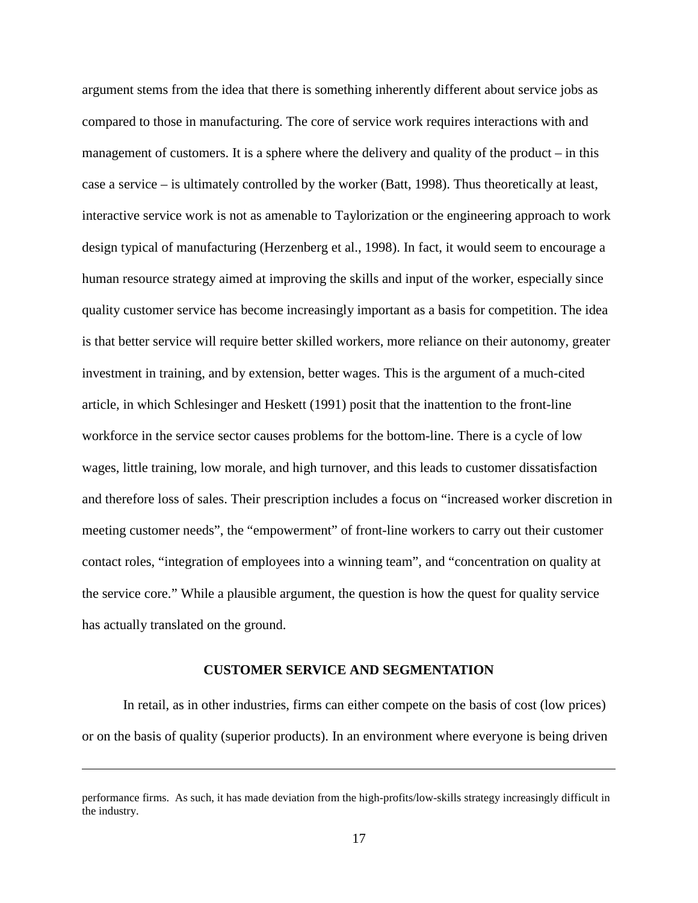argument stems from the idea that there is something inherently different about service jobs as compared to those in manufacturing. The core of service work requires interactions with and management of customers. It is a sphere where the delivery and quality of the product  $-$  in this case a service – is ultimately controlled by the worker (Batt, 1998). Thus theoretically at least, interactive service work is not as amenable to Taylorization or the engineering approach to work design typical of manufacturing (Herzenberg et al., 1998). In fact, it would seem to encourage a human resource strategy aimed at improving the skills and input of the worker, especially since quality customer service has become increasingly important as a basis for competition. The idea is that better service will require better skilled workers, more reliance on their autonomy, greater investment in training, and by extension, better wages. This is the argument of a much-cited article, in which Schlesinger and Heskett (1991) posit that the inattention to the front-line workforce in the service sector causes problems for the bottom-line. There is a cycle of low wages, little training, low morale, and high turnover, and this leads to customer dissatisfaction and therefore loss of sales. Their prescription includes a focus on "increased worker discretion in meeting customer needs", the "empowerment" of front-line workers to carry out their customer contact roles, "integration of employees into a winning team", and "concentration on quality at the service core." While a plausible argument, the question is how the quest for quality service has actually translated on the ground.

#### **CUSTOMER SERVICE AND SEGMENTATION**

In retail, as in other industries, firms can either compete on the basis of cost (low prices) or on the basis of quality (superior products). In an environment where everyone is being driven

performance firms. As such, it has made deviation from the high-profits/low-skills strategy increasingly difficult in the industry.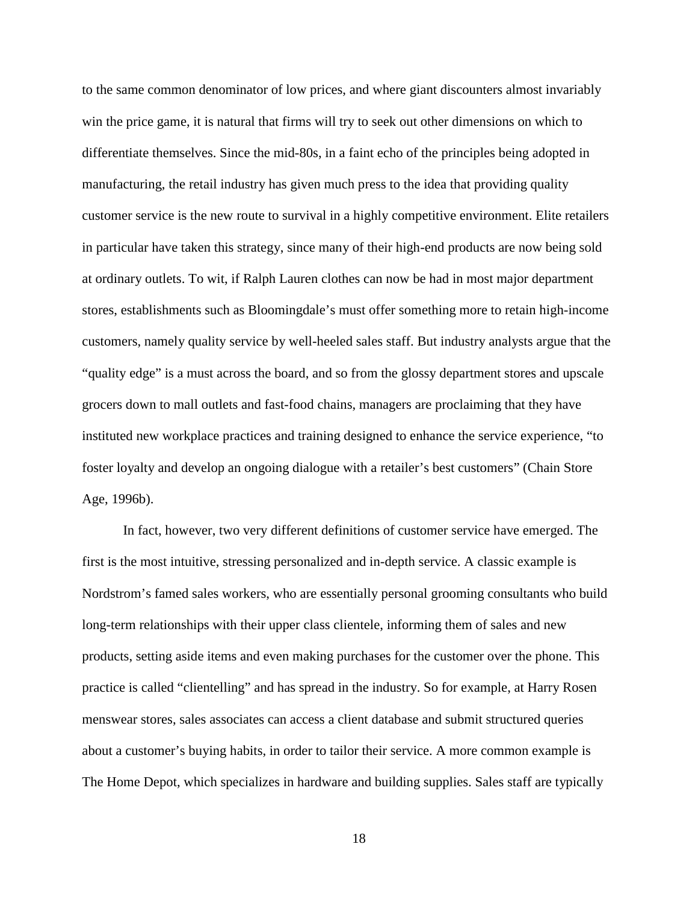to the same common denominator of low prices, and where giant discounters almost invariably win the price game, it is natural that firms will try to seek out other dimensions on which to differentiate themselves. Since the mid-80s, in a faint echo of the principles being adopted in manufacturing, the retail industry has given much press to the idea that providing quality customer service is the new route to survival in a highly competitive environment. Elite retailers in particular have taken this strategy, since many of their high-end products are now being sold at ordinary outlets. To wit, if Ralph Lauren clothes can now be had in most major department stores, establishments such as Bloomingdale's must offer something more to retain high-income customers, namely quality service by well-heeled sales staff. But industry analysts argue that the "quality edge" is a must across the board, and so from the glossy department stores and upscale grocers down to mall outlets and fast-food chains, managers are proclaiming that they have instituted new workplace practices and training designed to enhance the service experience, "to foster loyalty and develop an ongoing dialogue with a retailer's best customers" (Chain Store Age, 1996b).

In fact, however, two very different definitions of customer service have emerged. The first is the most intuitive, stressing personalized and in-depth service. A classic example is Nordstrom's famed sales workers, who are essentially personal grooming consultants who build long-term relationships with their upper class clientele, informing them of sales and new products, setting aside items and even making purchases for the customer over the phone. This practice is called "clientelling" and has spread in the industry. So for example, at Harry Rosen menswear stores, sales associates can access a client database and submit structured queries about a customer's buying habits, in order to tailor their service. A more common example is The Home Depot, which specializes in hardware and building supplies. Sales staff are typically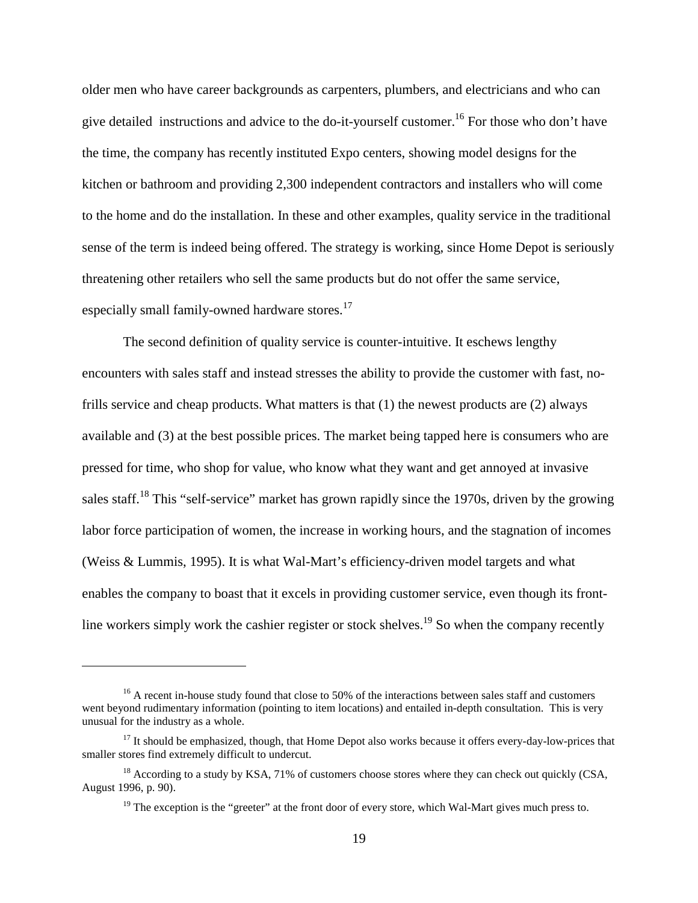older men who have career backgrounds as carpenters, plumbers, and electricians and who can give detailed instructions and advice to the do-it-yourself customer.<sup>16</sup> For those who don't have the time, the company has recently instituted Expo centers, showing model designs for the kitchen or bathroom and providing 2,300 independent contractors and installers who will come to the home and do the installation. In these and other examples, quality service in the traditional sense of the term is indeed being offered. The strategy is working, since Home Depot is seriously threatening other retailers who sell the same products but do not offer the same service, especially small family-owned hardware stores.<sup>17</sup>

The second definition of quality service is counter-intuitive. It eschews lengthy encounters with sales staff and instead stresses the ability to provide the customer with fast, nofrills service and cheap products. What matters is that (1) the newest products are (2) always available and (3) at the best possible prices. The market being tapped here is consumers who are pressed for time, who shop for value, who know what they want and get annoyed at invasive sales staff.<sup>18</sup> This "self-service" market has grown rapidly since the 1970s, driven by the growing labor force participation of women, the increase in working hours, and the stagnation of incomes (Weiss & Lummis, 1995). It is what Wal-Mart's efficiency-driven model targets and what enables the company to boast that it excels in providing customer service, even though its frontline workers simply work the cashier register or stock shelves.<sup>19</sup> So when the company recently

 $16$  A recent in-house study found that close to 50% of the interactions between sales staff and customers went beyond rudimentary information (pointing to item locations) and entailed in-depth consultation. This is very unusual for the industry as a whole.

 $17$  It should be emphasized, though, that Home Depot also works because it offers every-day-low-prices that smaller stores find extremely difficult to undercut.

 $^{18}$  According to a study by KSA, 71% of customers choose stores where they can check out quickly (CSA, August 1996, p. 90).

<sup>&</sup>lt;sup>19</sup> The exception is the "greeter" at the front door of every store, which Wal-Mart gives much press to.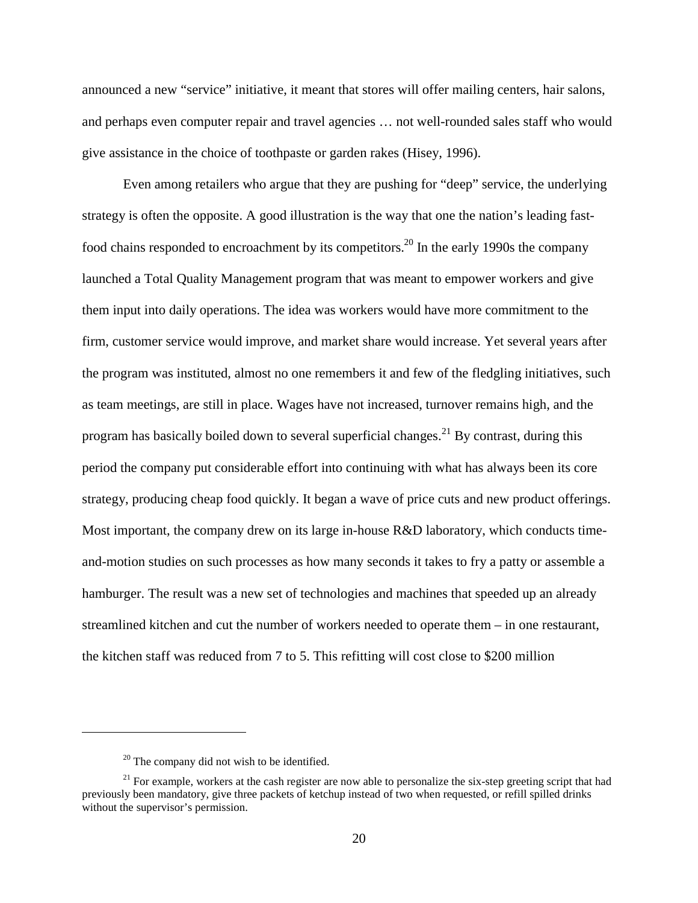announced a new "service" initiative, it meant that stores will offer mailing centers, hair salons, and perhaps even computer repair and travel agencies … not well-rounded sales staff who would give assistance in the choice of toothpaste or garden rakes (Hisey, 1996).

Even among retailers who argue that they are pushing for "deep" service, the underlying strategy is often the opposite. A good illustration is the way that one the nation's leading fastfood chains responded to encroachment by its competitors.<sup>20</sup> In the early 1990s the company launched a Total Quality Management program that was meant to empower workers and give them input into daily operations. The idea was workers would have more commitment to the firm, customer service would improve, and market share would increase. Yet several years after the program was instituted, almost no one remembers it and few of the fledgling initiatives, such as team meetings, are still in place. Wages have not increased, turnover remains high, and the program has basically boiled down to several superficial changes.<sup>21</sup> By contrast, during this period the company put considerable effort into continuing with what has always been its core strategy, producing cheap food quickly. It began a wave of price cuts and new product offerings. Most important, the company drew on its large in-house R&D laboratory, which conducts timeand-motion studies on such processes as how many seconds it takes to fry a patty or assemble a hamburger. The result was a new set of technologies and machines that speeded up an already streamlined kitchen and cut the number of workers needed to operate them – in one restaurant, the kitchen staff was reduced from 7 to 5. This refitting will cost close to \$200 million

 $20$  The company did not wish to be identified.

<sup>&</sup>lt;sup>21</sup> For example, workers at the cash register are now able to personalize the six-step greeting script that had previously been mandatory, give three packets of ketchup instead of two when requested, or refill spilled drinks without the supervisor's permission.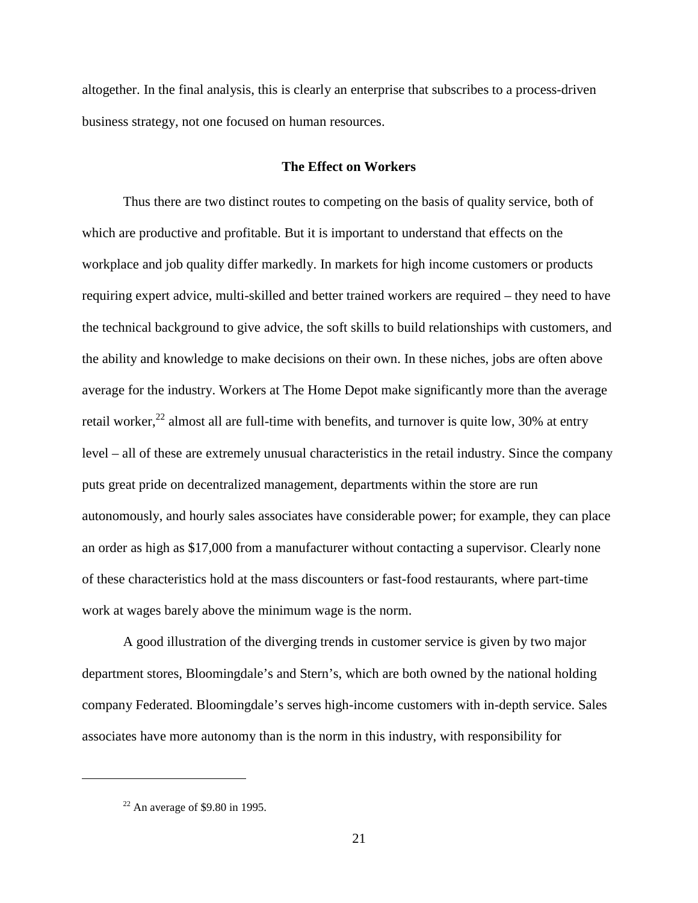altogether. In the final analysis, this is clearly an enterprise that subscribes to a process-driven business strategy, not one focused on human resources.

## **The Effect on Workers**

Thus there are two distinct routes to competing on the basis of quality service, both of which are productive and profitable. But it is important to understand that effects on the workplace and job quality differ markedly. In markets for high income customers or products requiring expert advice, multi-skilled and better trained workers are required – they need to have the technical background to give advice, the soft skills to build relationships with customers, and the ability and knowledge to make decisions on their own. In these niches, jobs are often above average for the industry. Workers at The Home Depot make significantly more than the average retail worker, $^{22}$  almost all are full-time with benefits, and turnover is quite low, 30% at entry level – all of these are extremely unusual characteristics in the retail industry. Since the company puts great pride on decentralized management, departments within the store are run autonomously, and hourly sales associates have considerable power; for example, they can place an order as high as \$17,000 from a manufacturer without contacting a supervisor. Clearly none of these characteristics hold at the mass discounters or fast-food restaurants, where part-time work at wages barely above the minimum wage is the norm.

A good illustration of the diverging trends in customer service is given by two major department stores, Bloomingdale's and Stern's, which are both owned by the national holding company Federated. Bloomingdale's serves high-income customers with in-depth service. Sales associates have more autonomy than is the norm in this industry, with responsibility for

 $22$  An average of \$9.80 in 1995.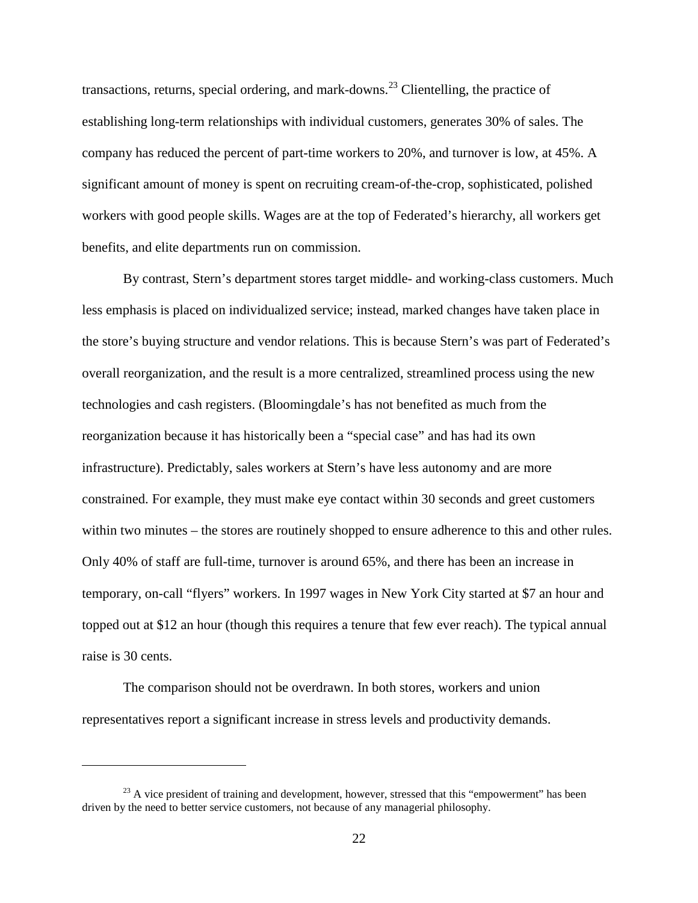transactions, returns, special ordering, and mark-downs.<sup>23</sup> Clientelling, the practice of establishing long-term relationships with individual customers, generates 30% of sales. The company has reduced the percent of part-time workers to 20%, and turnover is low, at 45%. A significant amount of money is spent on recruiting cream-of-the-crop, sophisticated, polished workers with good people skills. Wages are at the top of Federated's hierarchy, all workers get benefits, and elite departments run on commission.

By contrast, Stern's department stores target middle- and working-class customers. Much less emphasis is placed on individualized service; instead, marked changes have taken place in the store's buying structure and vendor relations. This is because Stern's was part of Federated's overall reorganization, and the result is a more centralized, streamlined process using the new technologies and cash registers. (Bloomingdale's has not benefited as much from the reorganization because it has historically been a "special case" and has had its own infrastructure). Predictably, sales workers at Stern's have less autonomy and are more constrained. For example, they must make eye contact within 30 seconds and greet customers within two minutes – the stores are routinely shopped to ensure adherence to this and other rules. Only 40% of staff are full-time, turnover is around 65%, and there has been an increase in temporary, on-call "flyers" workers. In 1997 wages in New York City started at \$7 an hour and topped out at \$12 an hour (though this requires a tenure that few ever reach). The typical annual raise is 30 cents.

The comparison should not be overdrawn. In both stores, workers and union representatives report a significant increase in stress levels and productivity demands.

 $^{23}$  A vice president of training and development, however, stressed that this "empowerment" has been driven by the need to better service customers, not because of any managerial philosophy.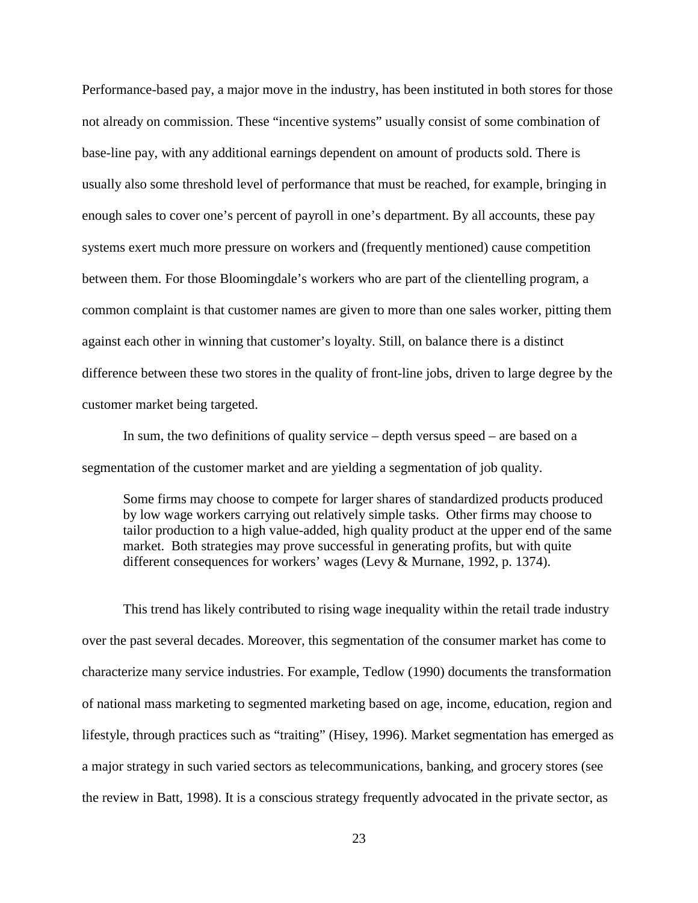Performance-based pay, a major move in the industry, has been instituted in both stores for those not already on commission. These "incentive systems" usually consist of some combination of base-line pay, with any additional earnings dependent on amount of products sold. There is usually also some threshold level of performance that must be reached, for example, bringing in enough sales to cover one's percent of payroll in one's department. By all accounts, these pay systems exert much more pressure on workers and (frequently mentioned) cause competition between them. For those Bloomingdale's workers who are part of the clientelling program, a common complaint is that customer names are given to more than one sales worker, pitting them against each other in winning that customer's loyalty. Still, on balance there is a distinct difference between these two stores in the quality of front-line jobs, driven to large degree by the customer market being targeted.

In sum, the two definitions of quality service – depth versus speed – are based on a segmentation of the customer market and are yielding a segmentation of job quality.

Some firms may choose to compete for larger shares of standardized products produced by low wage workers carrying out relatively simple tasks. Other firms may choose to tailor production to a high value-added, high quality product at the upper end of the same market. Both strategies may prove successful in generating profits, but with quite different consequences for workers' wages (Levy & Murnane, 1992, p. 1374).

This trend has likely contributed to rising wage inequality within the retail trade industry over the past several decades. Moreover, this segmentation of the consumer market has come to characterize many service industries. For example, Tedlow (1990) documents the transformation of national mass marketing to segmented marketing based on age, income, education, region and lifestyle, through practices such as "traiting" (Hisey, 1996). Market segmentation has emerged as a major strategy in such varied sectors as telecommunications, banking, and grocery stores (see the review in Batt, 1998). It is a conscious strategy frequently advocated in the private sector, as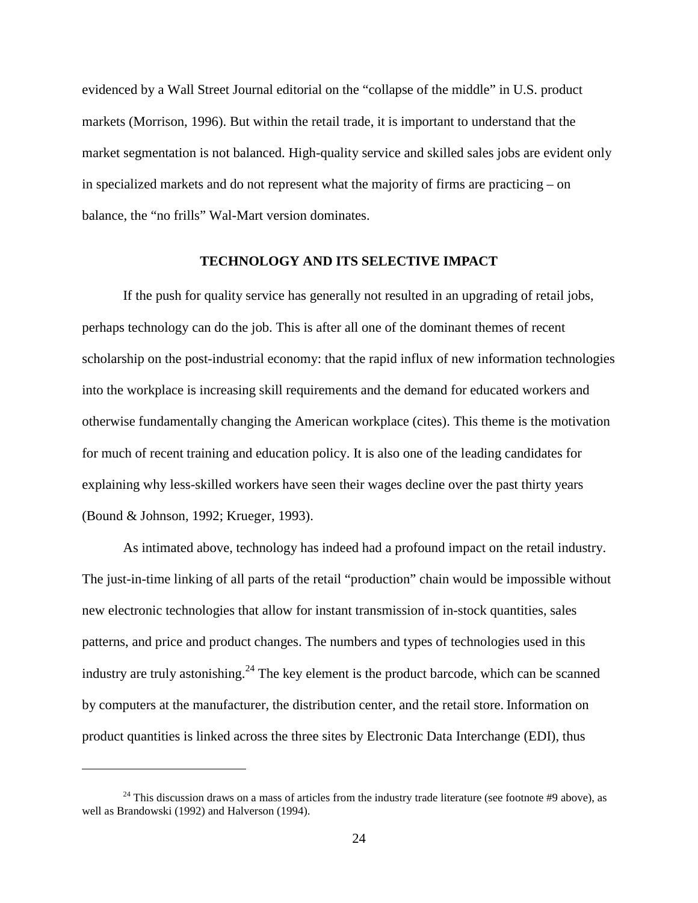evidenced by a Wall Street Journal editorial on the "collapse of the middle" in U.S. product markets (Morrison, 1996). But within the retail trade, it is important to understand that the market segmentation is not balanced. High-quality service and skilled sales jobs are evident only in specialized markets and do not represent what the majority of firms are practicing – on balance, the "no frills" Wal-Mart version dominates.

## **TECHNOLOGY AND ITS SELECTIVE IMPACT**

If the push for quality service has generally not resulted in an upgrading of retail jobs, perhaps technology can do the job. This is after all one of the dominant themes of recent scholarship on the post-industrial economy: that the rapid influx of new information technologies into the workplace is increasing skill requirements and the demand for educated workers and otherwise fundamentally changing the American workplace (cites). This theme is the motivation for much of recent training and education policy. It is also one of the leading candidates for explaining why less-skilled workers have seen their wages decline over the past thirty years (Bound & Johnson, 1992; Krueger, 1993).

As intimated above, technology has indeed had a profound impact on the retail industry. The just-in-time linking of all parts of the retail "production" chain would be impossible without new electronic technologies that allow for instant transmission of in-stock quantities, sales patterns, and price and product changes. The numbers and types of technologies used in this industry are truly astonishing.<sup>24</sup> The key element is the product barcode, which can be scanned by computers at the manufacturer, the distribution center, and the retail store. Information on product quantities is linked across the three sites by Electronic Data Interchange (EDI), thus

 $24$  This discussion draws on a mass of articles from the industry trade literature (see footnote #9 above), as well as Brandowski (1992) and Halverson (1994).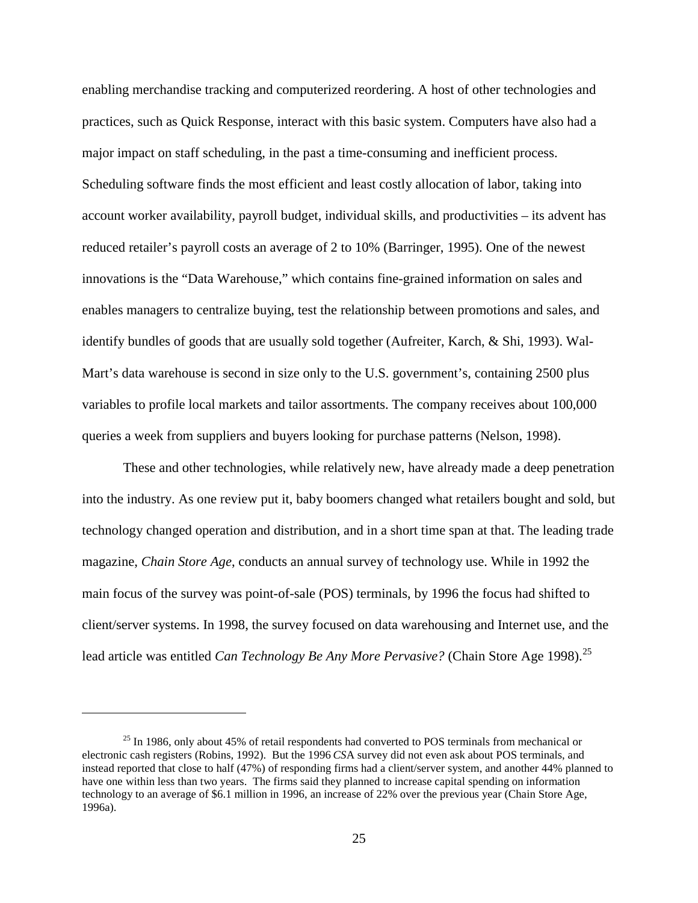enabling merchandise tracking and computerized reordering. A host of other technologies and practices, such as Quick Response, interact with this basic system. Computers have also had a major impact on staff scheduling, in the past a time-consuming and inefficient process. Scheduling software finds the most efficient and least costly allocation of labor, taking into account worker availability, payroll budget, individual skills, and productivities – its advent has reduced retailer's payroll costs an average of 2 to 10% (Barringer, 1995). One of the newest innovations is the "Data Warehouse," which contains fine-grained information on sales and enables managers to centralize buying, test the relationship between promotions and sales, and identify bundles of goods that are usually sold together (Aufreiter, Karch, & Shi, 1993). Wal-Mart's data warehouse is second in size only to the U.S. government's, containing 2500 plus variables to profile local markets and tailor assortments. The company receives about 100,000 queries a week from suppliers and buyers looking for purchase patterns (Nelson, 1998).

These and other technologies, while relatively new, have already made a deep penetration into the industry. As one review put it, baby boomers changed what retailers bought and sold, but technology changed operation and distribution, and in a short time span at that. The leading trade magazine, *Chain Store Age*, conducts an annual survey of technology use. While in 1992 the main focus of the survey was point-of-sale (POS) terminals, by 1996 the focus had shifted to client/server systems. In 1998, the survey focused on data warehousing and Internet use, and the lead article was entitled *Can Technology Be Any More Pervasive?* (Chain Store Age 1998).<sup>25</sup>

 $^{25}$  In 1986, only about 45% of retail respondents had converted to POS terminals from mechanical or electronic cash registers (Robins, 1992). But the 1996 *CS*A survey did not even ask about POS terminals, and instead reported that close to half (47%) of responding firms had a client/server system, and another 44% planned to have one within less than two years. The firms said they planned to increase capital spending on information technology to an average of \$6.1 million in 1996, an increase of 22% over the previous year (Chain Store Age, 1996a).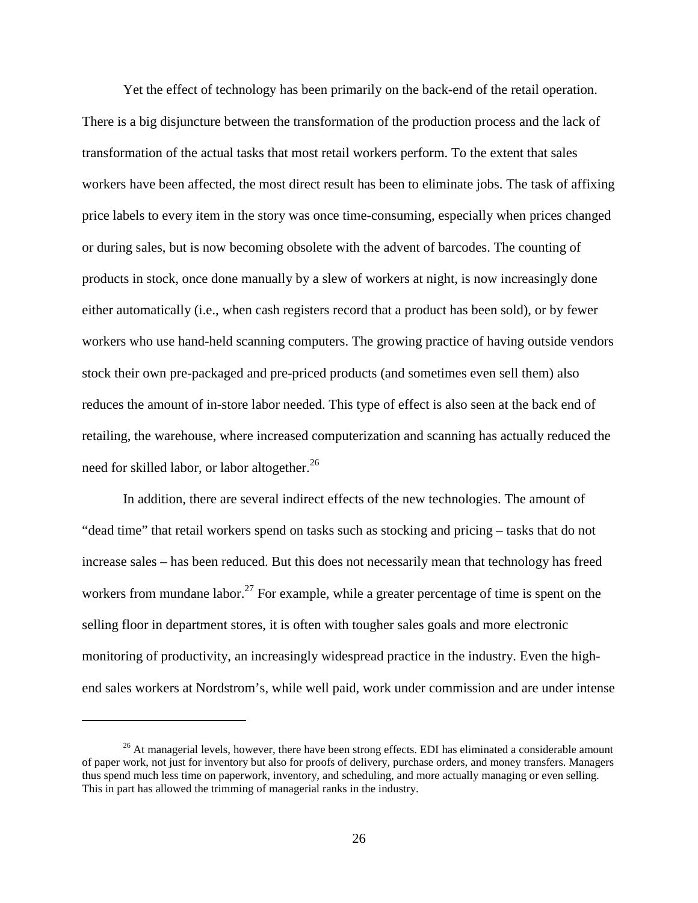Yet the effect of technology has been primarily on the back-end of the retail operation. There is a big disjuncture between the transformation of the production process and the lack of transformation of the actual tasks that most retail workers perform. To the extent that sales workers have been affected, the most direct result has been to eliminate jobs. The task of affixing price labels to every item in the story was once time-consuming, especially when prices changed or during sales, but is now becoming obsolete with the advent of barcodes. The counting of products in stock, once done manually by a slew of workers at night, is now increasingly done either automatically (i.e., when cash registers record that a product has been sold), or by fewer workers who use hand-held scanning computers. The growing practice of having outside vendors stock their own pre-packaged and pre-priced products (and sometimes even sell them) also reduces the amount of in-store labor needed. This type of effect is also seen at the back end of retailing, the warehouse, where increased computerization and scanning has actually reduced the need for skilled labor, or labor altogether.<sup>26</sup>

In addition, there are several indirect effects of the new technologies. The amount of "dead time" that retail workers spend on tasks such as stocking and pricing – tasks that do not increase sales – has been reduced. But this does not necessarily mean that technology has freed workers from mundane labor.<sup>27</sup> For example, while a greater percentage of time is spent on the selling floor in department stores, it is often with tougher sales goals and more electronic monitoring of productivity, an increasingly widespread practice in the industry. Even the highend sales workers at Nordstrom's, while well paid, work under commission and are under intense

<sup>&</sup>lt;sup>26</sup> At managerial levels, however, there have been strong effects. EDI has eliminated a considerable amount of paper work, not just for inventory but also for proofs of delivery, purchase orders, and money transfers. Managers thus spend much less time on paperwork, inventory, and scheduling, and more actually managing or even selling. This in part has allowed the trimming of managerial ranks in the industry.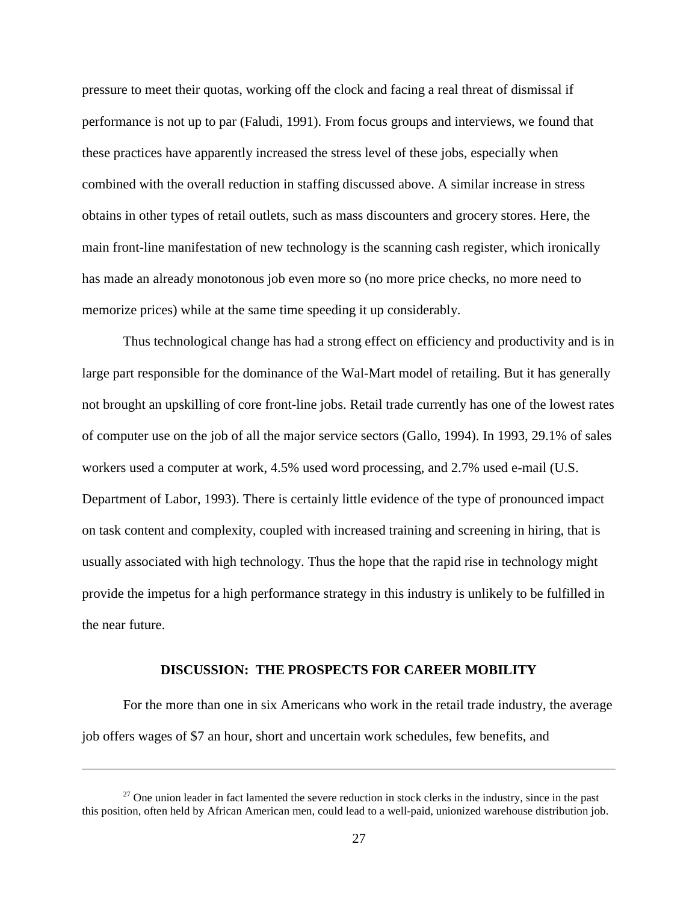pressure to meet their quotas, working off the clock and facing a real threat of dismissal if performance is not up to par (Faludi, 1991). From focus groups and interviews, we found that these practices have apparently increased the stress level of these jobs, especially when combined with the overall reduction in staffing discussed above. A similar increase in stress obtains in other types of retail outlets, such as mass discounters and grocery stores. Here, the main front-line manifestation of new technology is the scanning cash register, which ironically has made an already monotonous job even more so (no more price checks, no more need to memorize prices) while at the same time speeding it up considerably.

Thus technological change has had a strong effect on efficiency and productivity and is in large part responsible for the dominance of the Wal-Mart model of retailing. But it has generally not brought an upskilling of core front-line jobs. Retail trade currently has one of the lowest rates of computer use on the job of all the major service sectors (Gallo, 1994). In 1993, 29.1% of sales workers used a computer at work, 4.5% used word processing, and 2.7% used e-mail (U.S. Department of Labor, 1993). There is certainly little evidence of the type of pronounced impact on task content and complexity, coupled with increased training and screening in hiring, that is usually associated with high technology. Thus the hope that the rapid rise in technology might provide the impetus for a high performance strategy in this industry is unlikely to be fulfilled in the near future.

## **DISCUSSION: THE PROSPECTS FOR CAREER MOBILITY**

For the more than one in six Americans who work in the retail trade industry, the average job offers wages of \$7 an hour, short and uncertain work schedules, few benefits, and

 $27$  One union leader in fact lamented the severe reduction in stock clerks in the industry, since in the past this position, often held by African American men, could lead to a well-paid, unionized warehouse distribution job.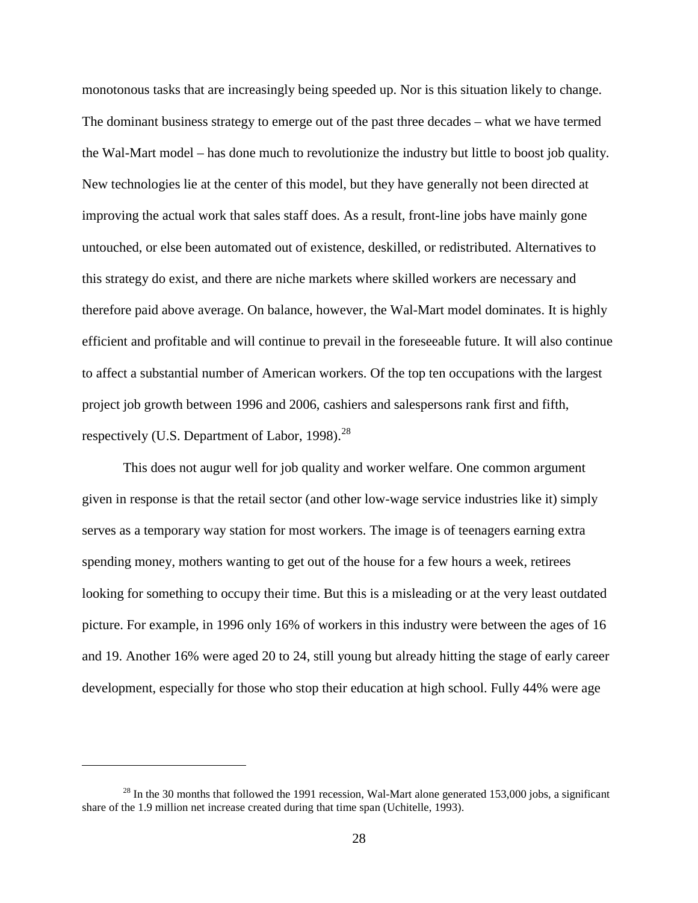monotonous tasks that are increasingly being speeded up. Nor is this situation likely to change. The dominant business strategy to emerge out of the past three decades – what we have termed the Wal-Mart model – has done much to revolutionize the industry but little to boost job quality. New technologies lie at the center of this model, but they have generally not been directed at improving the actual work that sales staff does. As a result, front-line jobs have mainly gone untouched, or else been automated out of existence, deskilled, or redistributed. Alternatives to this strategy do exist, and there are niche markets where skilled workers are necessary and therefore paid above average. On balance, however, the Wal-Mart model dominates. It is highly efficient and profitable and will continue to prevail in the foreseeable future. It will also continue to affect a substantial number of American workers. Of the top ten occupations with the largest project job growth between 1996 and 2006, cashiers and salespersons rank first and fifth, respectively (U.S. Department of Labor, 1998). $^{28}$ 

This does not augur well for job quality and worker welfare. One common argument given in response is that the retail sector (and other low-wage service industries like it) simply serves as a temporary way station for most workers. The image is of teenagers earning extra spending money, mothers wanting to get out of the house for a few hours a week, retirees looking for something to occupy their time. But this is a misleading or at the very least outdated picture. For example, in 1996 only 16% of workers in this industry were between the ages of 16 and 19. Another 16% were aged 20 to 24, still young but already hitting the stage of early career development, especially for those who stop their education at high school. Fully 44% were age

 $^{28}$  In the 30 months that followed the 1991 recession, Wal-Mart alone generated 153,000 jobs, a significant share of the 1.9 million net increase created during that time span (Uchitelle, 1993).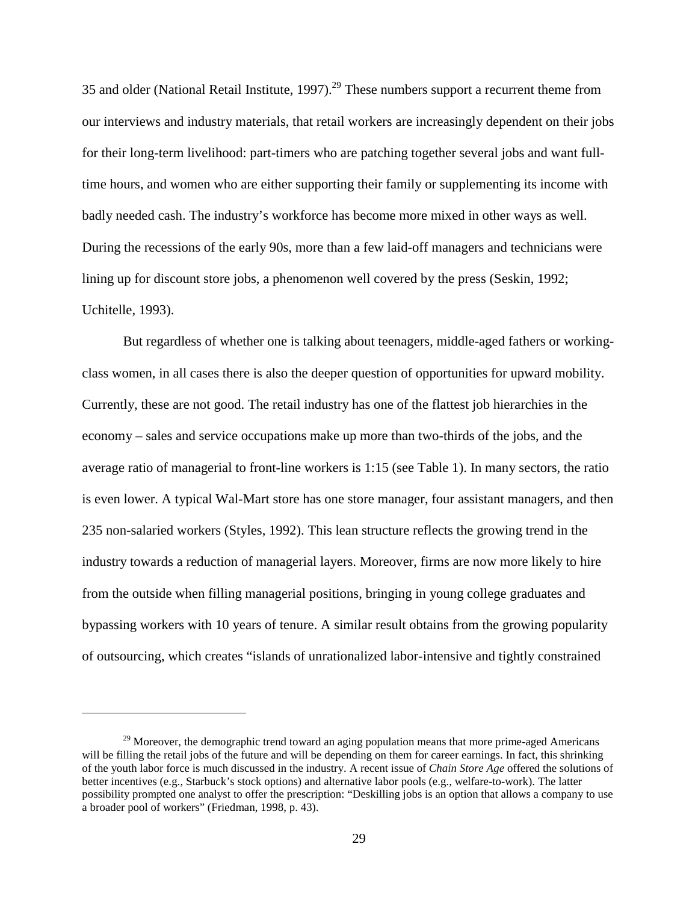35 and older (National Retail Institute, 1997).<sup>29</sup> These numbers support a recurrent theme from our interviews and industry materials, that retail workers are increasingly dependent on their jobs for their long-term livelihood: part-timers who are patching together several jobs and want fulltime hours, and women who are either supporting their family or supplementing its income with badly needed cash. The industry's workforce has become more mixed in other ways as well. During the recessions of the early 90s, more than a few laid-off managers and technicians were lining up for discount store jobs, a phenomenon well covered by the press (Seskin, 1992; Uchitelle, 1993).

But regardless of whether one is talking about teenagers, middle-aged fathers or workingclass women, in all cases there is also the deeper question of opportunities for upward mobility. Currently, these are not good. The retail industry has one of the flattest job hierarchies in the economy – sales and service occupations make up more than two-thirds of the jobs, and the average ratio of managerial to front-line workers is 1:15 (see Table 1). In many sectors, the ratio is even lower. A typical Wal-Mart store has one store manager, four assistant managers, and then 235 non-salaried workers (Styles, 1992). This lean structure reflects the growing trend in the industry towards a reduction of managerial layers. Moreover, firms are now more likely to hire from the outside when filling managerial positions, bringing in young college graduates and bypassing workers with 10 years of tenure. A similar result obtains from the growing popularity of outsourcing, which creates "islands of unrationalized labor-intensive and tightly constrained

 $^{29}$  Moreover, the demographic trend toward an aging population means that more prime-aged Americans will be filling the retail jobs of the future and will be depending on them for career earnings. In fact, this shrinking of the youth labor force is much discussed in the industry. A recent issue of *Chain Store Age* offered the solutions of better incentives (e.g., Starbuck's stock options) and alternative labor pools (e.g., welfare-to-work). The latter possibility prompted one analyst to offer the prescription: "Deskilling jobs is an option that allows a company to use a broader pool of workers" (Friedman, 1998, p. 43).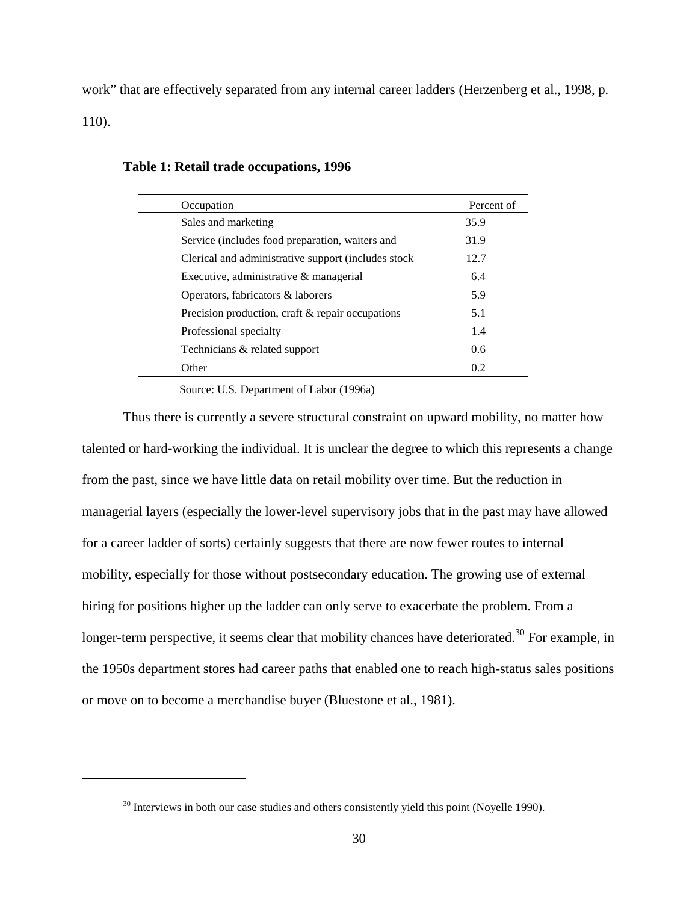work" that are effectively separated from any internal career ladders (Herzenberg et al., 1998, p. 110).

| Occupation                                          | Percent of |
|-----------------------------------------------------|------------|
| Sales and marketing                                 | 35.9       |
| Service (includes food preparation, waiters and     | 31.9       |
| Clerical and administrative support (includes stock | 12.7       |
| Executive, administrative & managerial              | 6.4        |
| Operators, fabricators & laborers                   | 5.9        |
| Precision production, craft & repair occupations    | 5.1        |
| Professional specialty                              | 1.4        |
| Technicians & related support                       | 0.6        |
| Other                                               | 0.2        |

## **Table 1: Retail trade occupations, 1996**

Source: U.S. Department of Labor (1996a)

Thus there is currently a severe structural constraint on upward mobility, no matter how talented or hard-working the individual. It is unclear the degree to which this represents a change from the past, since we have little data on retail mobility over time. But the reduction in managerial layers (especially the lower-level supervisory jobs that in the past may have allowed for a career ladder of sorts) certainly suggests that there are now fewer routes to internal mobility, especially for those without postsecondary education. The growing use of external hiring for positions higher up the ladder can only serve to exacerbate the problem. From a longer-term perspective, it seems clear that mobility chances have deteriorated.<sup>30</sup> For example, in the 1950s department stores had career paths that enabled one to reach high-status sales positions or move on to become a merchandise buyer (Bluestone et al., 1981).

<sup>&</sup>lt;sup>30</sup> Interviews in both our case studies and others consistently yield this point (Noyelle 1990).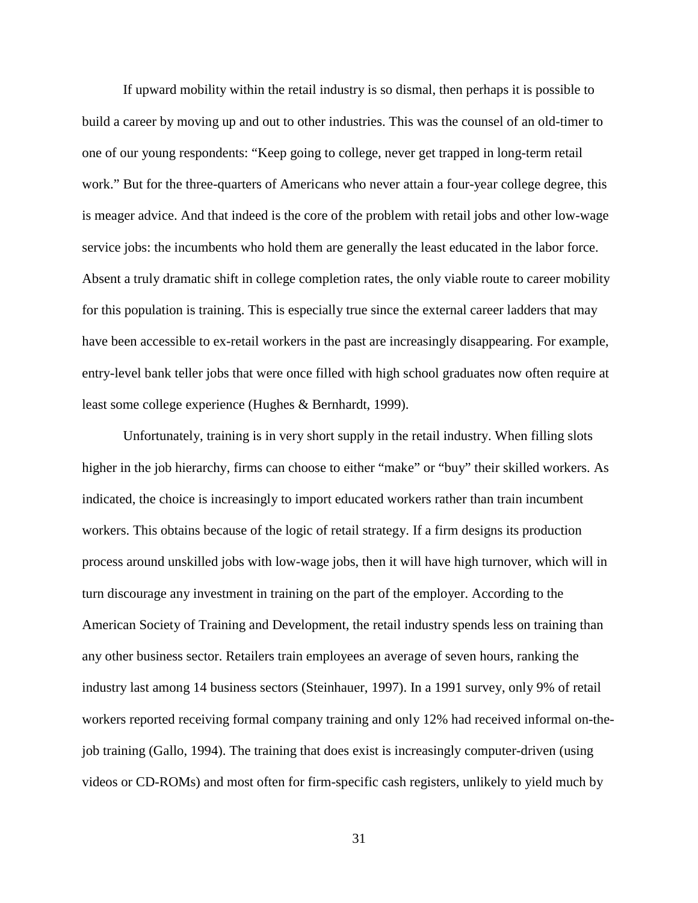If upward mobility within the retail industry is so dismal, then perhaps it is possible to build a career by moving up and out to other industries. This was the counsel of an old-timer to one of our young respondents: "Keep going to college, never get trapped in long-term retail work." But for the three-quarters of Americans who never attain a four-year college degree, this is meager advice. And that indeed is the core of the problem with retail jobs and other low-wage service jobs: the incumbents who hold them are generally the least educated in the labor force. Absent a truly dramatic shift in college completion rates, the only viable route to career mobility for this population is training. This is especially true since the external career ladders that may have been accessible to ex-retail workers in the past are increasingly disappearing. For example, entry-level bank teller jobs that were once filled with high school graduates now often require at least some college experience (Hughes & Bernhardt, 1999).

Unfortunately, training is in very short supply in the retail industry. When filling slots higher in the job hierarchy, firms can choose to either "make" or "buy" their skilled workers. As indicated, the choice is increasingly to import educated workers rather than train incumbent workers. This obtains because of the logic of retail strategy. If a firm designs its production process around unskilled jobs with low-wage jobs, then it will have high turnover, which will in turn discourage any investment in training on the part of the employer. According to the American Society of Training and Development, the retail industry spends less on training than any other business sector. Retailers train employees an average of seven hours, ranking the industry last among 14 business sectors (Steinhauer, 1997). In a 1991 survey, only 9% of retail workers reported receiving formal company training and only 12% had received informal on-thejob training (Gallo, 1994). The training that does exist is increasingly computer-driven (using videos or CD-ROMs) and most often for firm-specific cash registers, unlikely to yield much by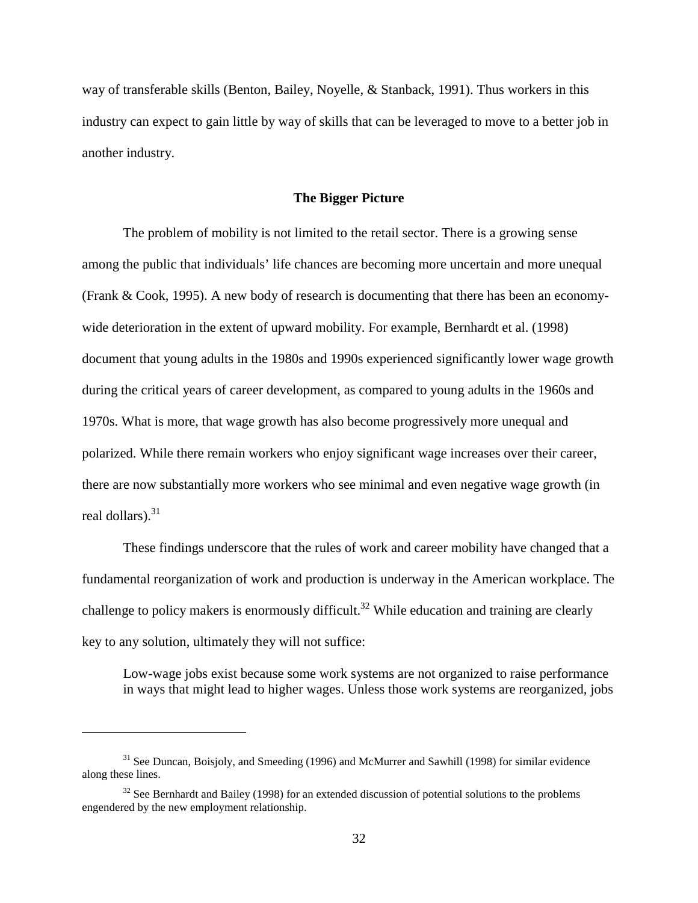way of transferable skills (Benton, Bailey, Noyelle, & Stanback, 1991). Thus workers in this industry can expect to gain little by way of skills that can be leveraged to move to a better job in another industry.

### **The Bigger Picture**

The problem of mobility is not limited to the retail sector. There is a growing sense among the public that individuals' life chances are becoming more uncertain and more unequal (Frank & Cook, 1995). A new body of research is documenting that there has been an economywide deterioration in the extent of upward mobility. For example, Bernhardt et al. (1998) document that young adults in the 1980s and 1990s experienced significantly lower wage growth during the critical years of career development, as compared to young adults in the 1960s and 1970s. What is more, that wage growth has also become progressively more unequal and polarized. While there remain workers who enjoy significant wage increases over their career, there are now substantially more workers who see minimal and even negative wage growth (in real dollars). $31$ 

These findings underscore that the rules of work and career mobility have changed that a fundamental reorganization of work and production is underway in the American workplace. The challenge to policy makers is enormously difficult.<sup>32</sup> While education and training are clearly key to any solution, ultimately they will not suffice:

Low-wage jobs exist because some work systems are not organized to raise performance in ways that might lead to higher wages. Unless those work systems are reorganized, jobs

 $31$  See Duncan, Boisjoly, and Smeeding (1996) and McMurrer and Sawhill (1998) for similar evidence along these lines.

 $32$  See Bernhardt and Bailey (1998) for an extended discussion of potential solutions to the problems engendered by the new employment relationship.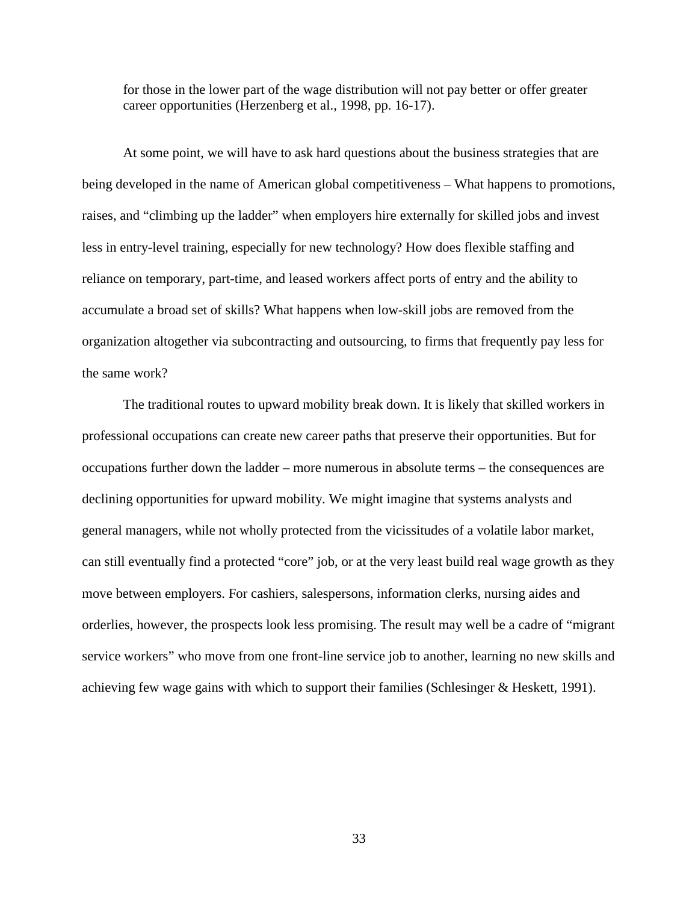for those in the lower part of the wage distribution will not pay better or offer greater career opportunities (Herzenberg et al., 1998, pp. 16-17).

At some point, we will have to ask hard questions about the business strategies that are being developed in the name of American global competitiveness – What happens to promotions, raises, and "climbing up the ladder" when employers hire externally for skilled jobs and invest less in entry-level training, especially for new technology? How does flexible staffing and reliance on temporary, part-time, and leased workers affect ports of entry and the ability to accumulate a broad set of skills? What happens when low-skill jobs are removed from the organization altogether via subcontracting and outsourcing, to firms that frequently pay less for the same work?

The traditional routes to upward mobility break down. It is likely that skilled workers in professional occupations can create new career paths that preserve their opportunities. But for occupations further down the ladder – more numerous in absolute terms – the consequences are declining opportunities for upward mobility. We might imagine that systems analysts and general managers, while not wholly protected from the vicissitudes of a volatile labor market, can still eventually find a protected "core" job, or at the very least build real wage growth as they move between employers. For cashiers, salespersons, information clerks, nursing aides and orderlies, however, the prospects look less promising. The result may well be a cadre of "migrant service workers" who move from one front-line service job to another, learning no new skills and achieving few wage gains with which to support their families (Schlesinger & Heskett, 1991).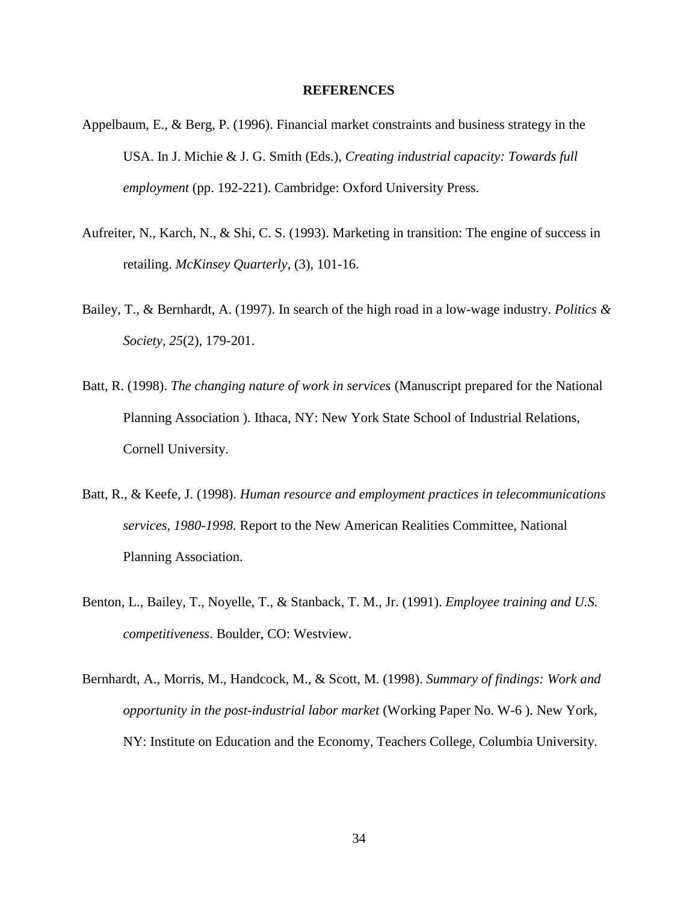## **REFERENCES**

- Appelbaum, E., & Berg, P. (1996). Financial market constraints and business strategy in the USA. In J. Michie & J. G. Smith (Eds.), *Creating industrial capacity: Towards full employment* (pp. 192-221). Cambridge: Oxford University Press.
- Aufreiter, N., Karch, N., & Shi, C. S. (1993). Marketing in transition: The engine of success in retailing. *McKinsey Quarterly,* (3), 101-16.
- Bailey, T., & Bernhardt, A. (1997). In search of the high road in a low-wage industry. *Politics & Society, 25*(2), 179-201.
- Batt, R. (1998). *The changing nature of work in services* (Manuscript prepared for the National Planning Association ). Ithaca, NY: New York State School of Industrial Relations, Cornell University.
- Batt, R., & Keefe, J. (1998). *Human resource and employment practices in telecommunications services, 1980-1998.* Report to the New American Realities Committee, National Planning Association.
- Benton, L., Bailey, T., Noyelle, T., & Stanback, T. M., Jr. (1991). *Employee training and U.S. competitiveness*. Boulder, CO: Westview.
- Bernhardt, A., Morris, M., Handcock, M., & Scott, M. (1998). *Summary of findings: Work and opportunity in the post-industrial labor market* (Working Paper No. W-6 ). New York, NY: Institute on Education and the Economy, Teachers College, Columbia University.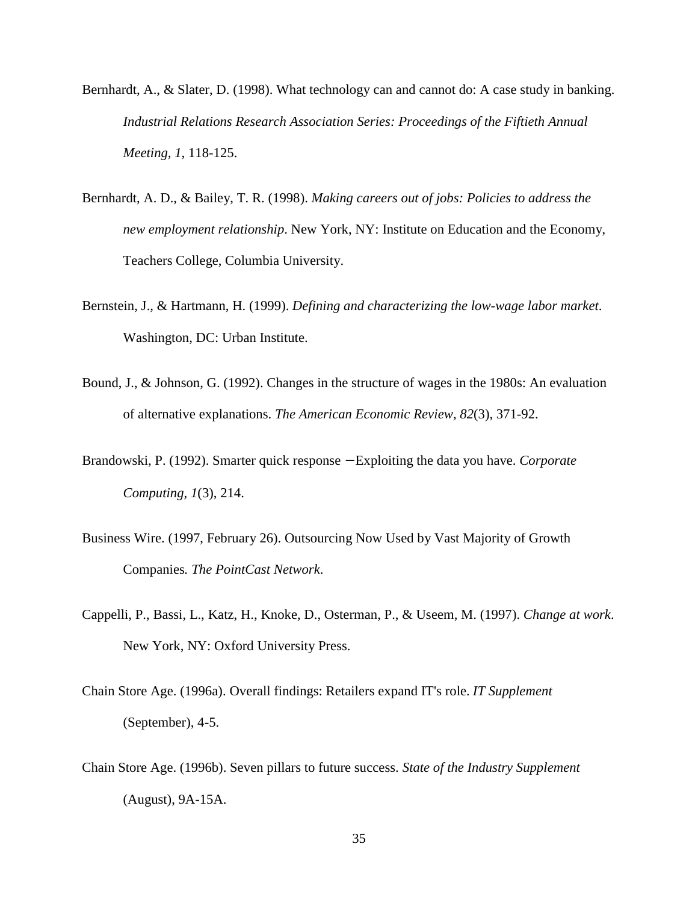- Bernhardt, A., & Slater, D. (1998). What technology can and cannot do: A case study in banking. *Industrial Relations Research Association Series: Proceedings of the Fiftieth Annual Meeting, 1*, 118-125.
- Bernhardt, A. D., & Bailey, T. R. (1998). *Making careers out of jobs: Policies to address the new employment relationship*. New York, NY: Institute on Education and the Economy, Teachers College, Columbia University.
- Bernstein, J., & Hartmann, H. (1999). *Defining and characterizing the low-wage labor market*. Washington, DC: Urban Institute.
- Bound, J., & Johnson, G. (1992). Changes in the structure of wages in the 1980s: An evaluation of alternative explanations. *The American Economic Review, 82*(3), 371-92.
- Brandowski, P. (1992). Smarter quick response − Exploiting the data you have. *Corporate Computing, 1*(3), 214.
- Business Wire. (1997, February 26). Outsourcing Now Used by Vast Majority of Growth Companies*. The PointCast Network*.
- Cappelli, P., Bassi, L., Katz, H., Knoke, D., Osterman, P., & Useem, M. (1997). *Change at work*. New York, NY: Oxford University Press.
- Chain Store Age. (1996a). Overall findings: Retailers expand IT's role. *IT Supplement* (September), 4-5.
- Chain Store Age. (1996b). Seven pillars to future success. *State of the Industry Supplement* (August), 9A-15A.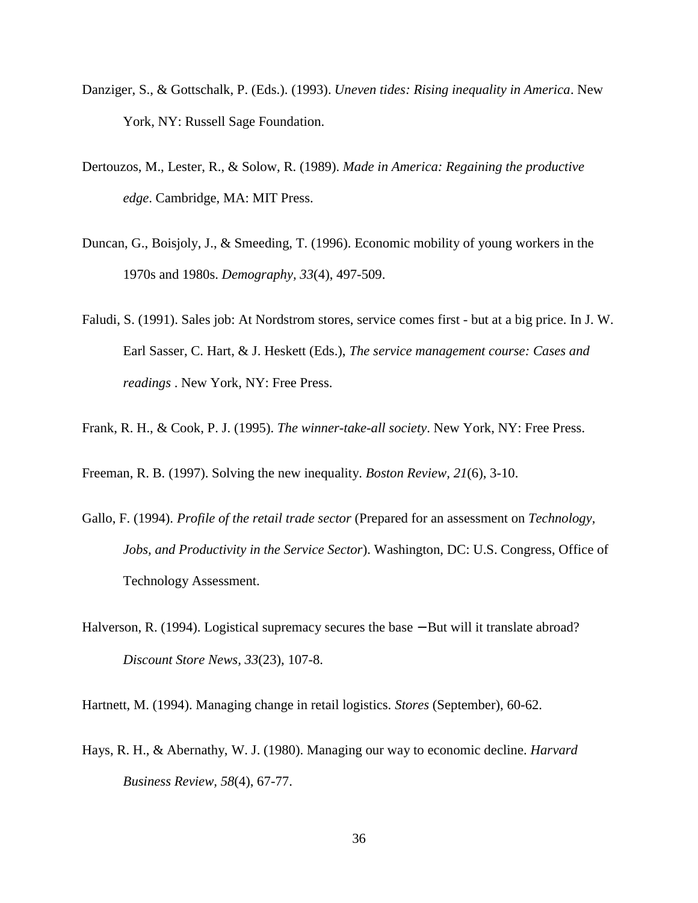- Danziger, S., & Gottschalk, P. (Eds.). (1993). *Uneven tides: Rising inequality in America*. New York, NY: Russell Sage Foundation.
- Dertouzos, M., Lester, R., & Solow, R. (1989). *Made in America: Regaining the productive edge*. Cambridge, MA: MIT Press.
- Duncan, G., Boisjoly, J., & Smeeding, T. (1996). Economic mobility of young workers in the 1970s and 1980s. *Demography, 33*(4), 497-509.
- Faludi, S. (1991). Sales job: At Nordstrom stores, service comes first but at a big price. In J. W. Earl Sasser, C. Hart, & J. Heskett (Eds.), *The service management course: Cases and readings* . New York, NY: Free Press.
- Frank, R. H., & Cook, P. J. (1995). *The winner-take-all society*. New York, NY: Free Press.

Freeman, R. B. (1997). Solving the new inequality. *Boston Review, 21*(6), 3-10.

- Gallo, F. (1994). *Profile of the retail trade sector* (Prepared for an assessment on *Technology, Jobs, and Productivity in the Service Sector*). Washington, DC: U.S. Congress, Office of Technology Assessment.
- Halverson, R. (1994). Logistical supremacy secures the base − But will it translate abroad? *Discount Store News, 33*(23), 107-8.

Hartnett, M. (1994). Managing change in retail logistics. *Stores* (September), 60-62.

Hays, R. H., & Abernathy, W. J. (1980). Managing our way to economic decline. *Harvard Business Review, 58*(4), 67-77.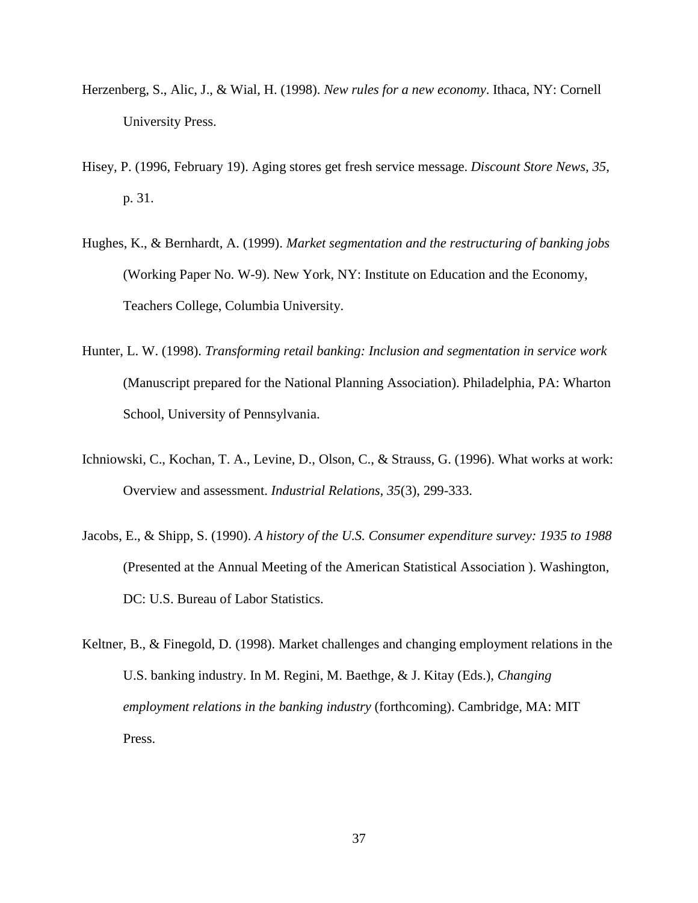- Herzenberg, S., Alic, J., & Wial, H. (1998). *New rules for a new economy*. Ithaca, NY: Cornell University Press.
- Hisey, P. (1996, February 19). Aging stores get fresh service message. *Discount Store News, 35*, p. 31.
- Hughes, K., & Bernhardt, A. (1999). *Market segmentation and the restructuring of banking jobs* (Working Paper No. W-9). New York, NY: Institute on Education and the Economy, Teachers College, Columbia University.
- Hunter, L. W. (1998). *Transforming retail banking: Inclusion and segmentation in service work* (Manuscript prepared for the National Planning Association). Philadelphia, PA: Wharton School, University of Pennsylvania.
- Ichniowski, C., Kochan, T. A., Levine, D., Olson, C., & Strauss, G. (1996). What works at work: Overview and assessment. *Industrial Relations, 35*(3), 299-333.
- Jacobs, E., & Shipp, S. (1990). *A history of the U.S. Consumer expenditure survey: 1935 to 1988* (Presented at the Annual Meeting of the American Statistical Association ). Washington, DC: U.S. Bureau of Labor Statistics.
- Keltner, B., & Finegold, D. (1998). Market challenges and changing employment relations in the U.S. banking industry. In M. Regini, M. Baethge, & J. Kitay (Eds.), *Changing employment relations in the banking industry* (forthcoming). Cambridge, MA: MIT Press.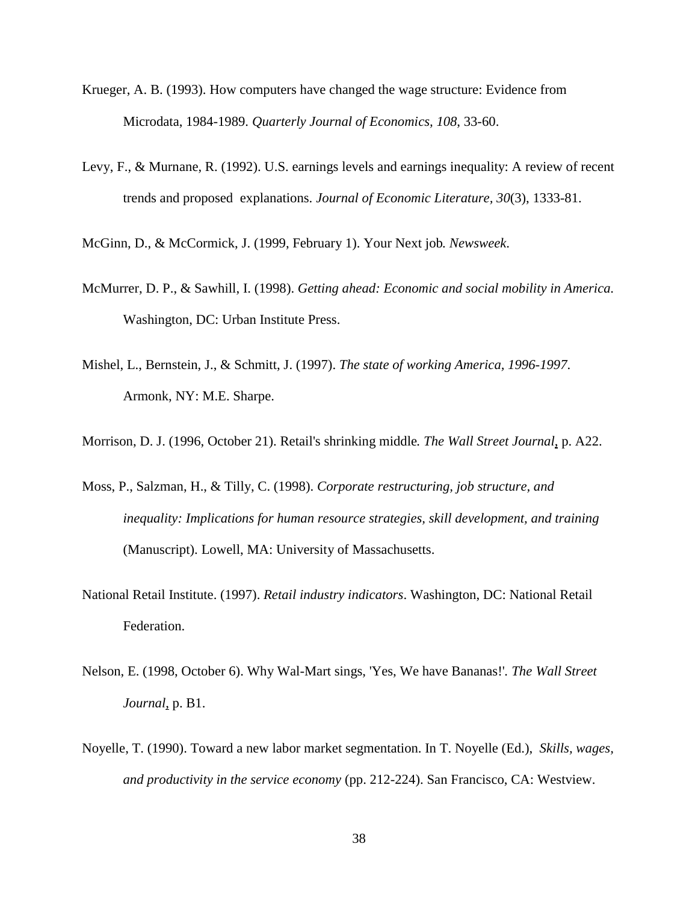- Krueger, A. B. (1993). How computers have changed the wage structure: Evidence from Microdata, 1984-1989. *Quarterly Journal of Economics, 108*, 33-60.
- Levy, F., & Murnane, R. (1992). U.S. earnings levels and earnings inequality: A review of recent trends and proposed explanations. *Journal of Economic Literature, 30*(3), 1333-81.
- McGinn, D., & McCormick, J. (1999, February 1). Your Next job*. Newsweek*.
- McMurrer, D. P., & Sawhill, I. (1998). *Getting ahead: Economic and social mobility in America*. Washington, DC: Urban Institute Press.
- Mishel, L., Bernstein, J., & Schmitt, J. (1997). *The state of working America, 1996-1997*. Armonk, NY: M.E. Sharpe.
- Morrison, D. J. (1996, October 21). Retail's shrinking middle*. The Wall Street Journal*, p. A22.
- Moss, P., Salzman, H., & Tilly, C. (1998). *Corporate restructuring, job structure, and inequality: Implications for human resource strategies, skill development, and training* (Manuscript). Lowell, MA: University of Massachusetts.
- National Retail Institute. (1997). *Retail industry indicators*. Washington, DC: National Retail Federation.
- Nelson, E. (1998, October 6). Why Wal-Mart sings, 'Yes, We have Bananas!'*. The Wall Street Journal*, p. B1.
- Noyelle, T. (1990). Toward a new labor market segmentation. In T. Noyelle (Ed.), *Skills, wages, and productivity in the service economy* (pp. 212-224). San Francisco, CA: Westview.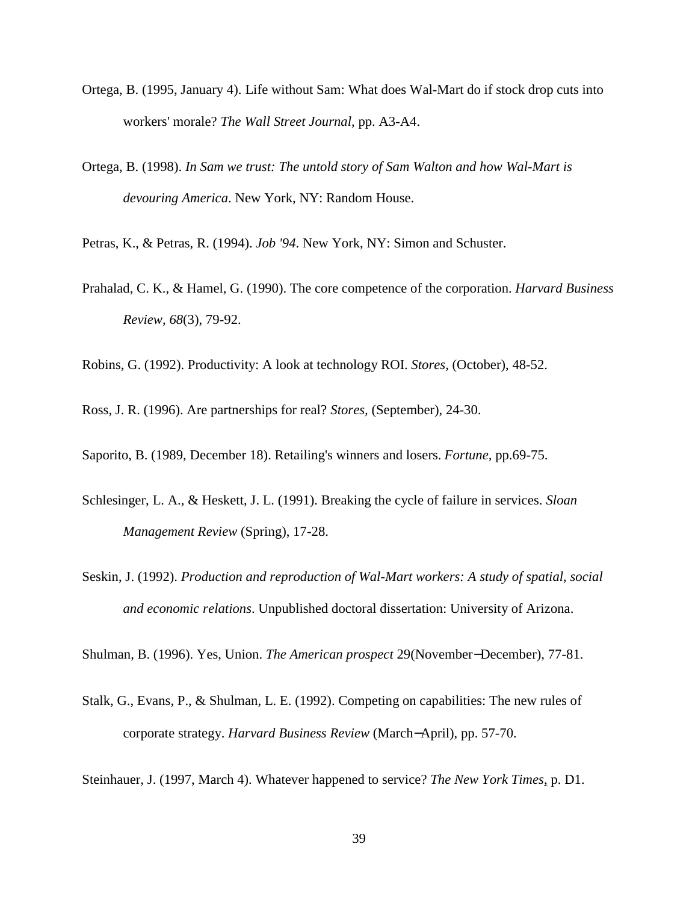- Ortega, B. (1995, January 4). Life without Sam: What does Wal-Mart do if stock drop cuts into workers' morale? *The Wall Street Journal*, pp. A3-A4.
- Ortega, B. (1998). *In Sam we trust: The untold story of Sam Walton and how Wal-Mart is devouring America*. New York, NY: Random House.

Petras, K., & Petras, R. (1994). *Job '94*. New York, NY: Simon and Schuster.

Prahalad, C. K., & Hamel, G. (1990). The core competence of the corporation. *Harvard Business Review, 68*(3), 79-92.

Robins, G. (1992). Productivity: A look at technology ROI. *Stores,* (October), 48-52.

Ross, J. R. (1996). Are partnerships for real? *Stores,* (September), 24-30.

Saporito, B. (1989, December 18). Retailing's winners and losers. *Fortune,* pp.69-75.

- Schlesinger, L. A., & Heskett, J. L. (1991). Breaking the cycle of failure in services. *Sloan Management Review* (Spring), 17-28.
- Seskin, J. (1992). *Production and reproduction of Wal-Mart workers: A study of spatial, social and economic relations*. Unpublished doctoral dissertation: University of Arizona.

Shulman, B. (1996). Yes, Union. *The American prospect* 29(November−December), 77-81.

Stalk, G., Evans, P., & Shulman, L. E. (1992). Competing on capabilities: The new rules of corporate strategy. *Harvard Business Review* (March−April), pp. 57-70.

Steinhauer, J. (1997, March 4). Whatever happened to service? *The New York Times*, p. D1.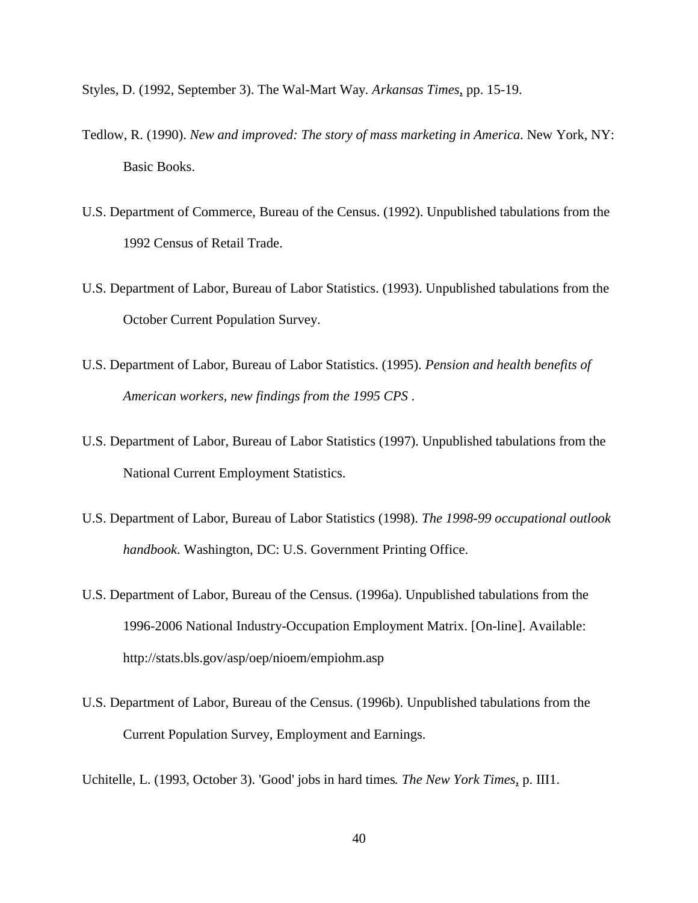- Styles, D. (1992, September 3). The Wal-Mart Way*. Arkansas Times*, pp. 15-19.
- Tedlow, R. (1990). *New and improved: The story of mass marketing in America*. New York, NY: Basic Books.
- U.S. Department of Commerce, Bureau of the Census. (1992). Unpublished tabulations from the 1992 Census of Retail Trade.
- U.S. Department of Labor, Bureau of Labor Statistics. (1993). Unpublished tabulations from the October Current Population Survey.
- U.S. Department of Labor, Bureau of Labor Statistics. (1995). *Pension and health benefits of American workers, new findings from the 1995 CPS* .
- U.S. Department of Labor, Bureau of Labor Statistics (1997). Unpublished tabulations from the National Current Employment Statistics.
- U.S. Department of Labor, Bureau of Labor Statistics (1998). *The 1998-99 occupational outlook handbook*. Washington, DC: U.S. Government Printing Office.
- U.S. Department of Labor, Bureau of the Census. (1996a). Unpublished tabulations from the 1996-2006 National Industry-Occupation Employment Matrix. [On-line]. Available: http://stats.bls.gov/asp/oep/nioem/empiohm.asp
- U.S. Department of Labor, Bureau of the Census. (1996b). Unpublished tabulations from the Current Population Survey, Employment and Earnings.

Uchitelle, L. (1993, October 3). 'Good' jobs in hard times*. The New York Times*, p. III1.